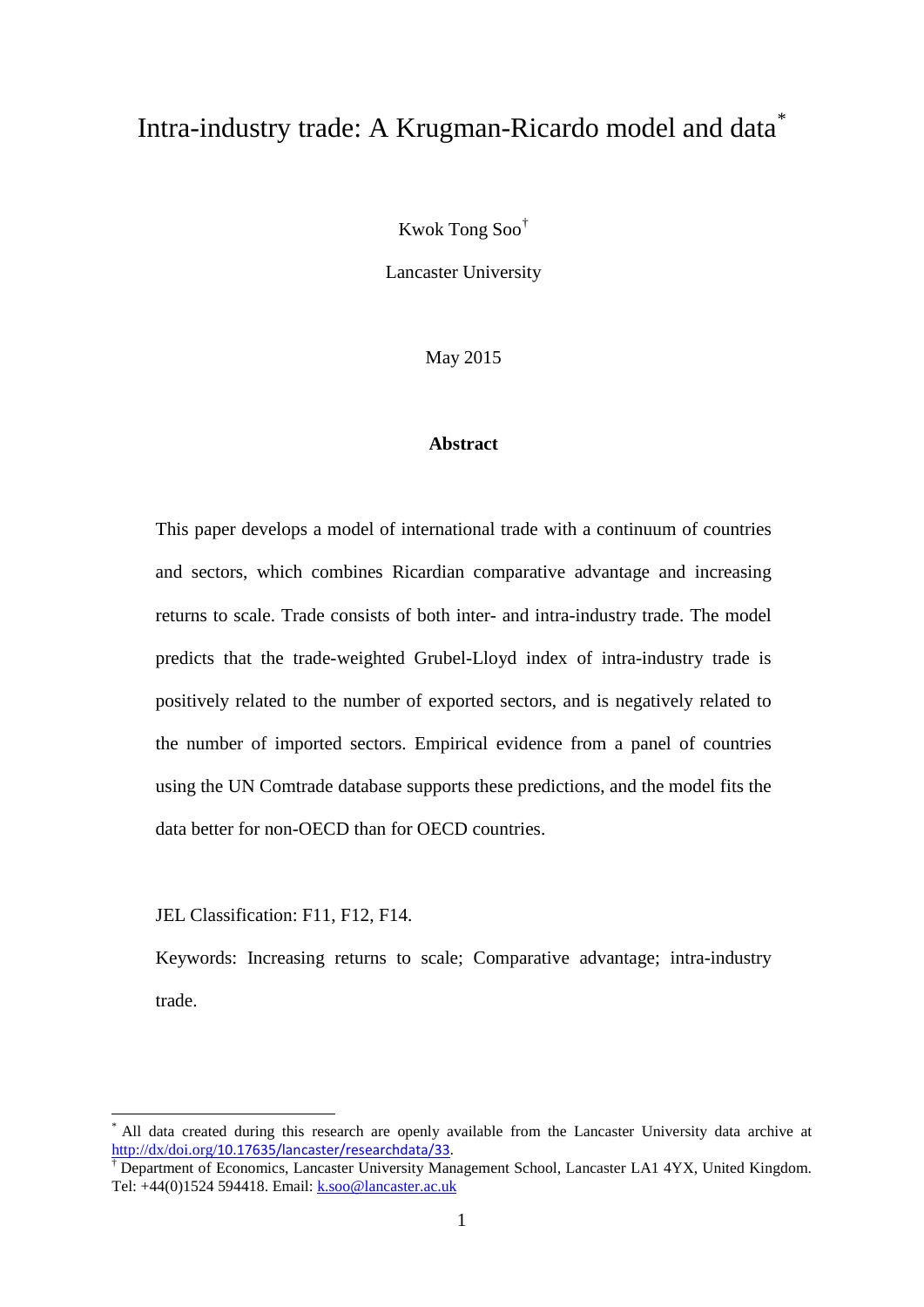# Intra-industry trade: A Krugman-Ricardo model and data[\\*](#page-0-0)

Kwok Tong Soo[†](#page-0-1)

Lancaster University

May 2015

#### **Abstract**

This paper develops a model of international trade with a continuum of countries and sectors, which combines Ricardian comparative advantage and increasing returns to scale. Trade consists of both inter- and intra-industry trade. The model predicts that the trade-weighted Grubel-Lloyd index of intra-industry trade is positively related to the number of exported sectors, and is negatively related to the number of imported sectors. Empirical evidence from a panel of countries using the UN Comtrade database supports these predictions, and the model fits the data better for non-OECD than for OECD countries.

JEL Classification: F11, F12, F14.

Keywords: Increasing returns to scale; Comparative advantage; intra-industry trade.

<span id="page-0-0"></span>All data created during this research are openly available from the Lancaster University data archive at http://dx/doi.org/[10.17635/lancaster/researchdata/33.](http://dx/doi.org/10.17635/lancaster/researchdata/33)<br>† Department of Economics, Lancaster University Management School, Lancaster LA1 4YX, United Kingdom.

<span id="page-0-1"></span>Tel: +44(0)1524 594418. Email: [k.soo@lancaster.ac.uk](mailto:k.soo@lancaster.ac.uk)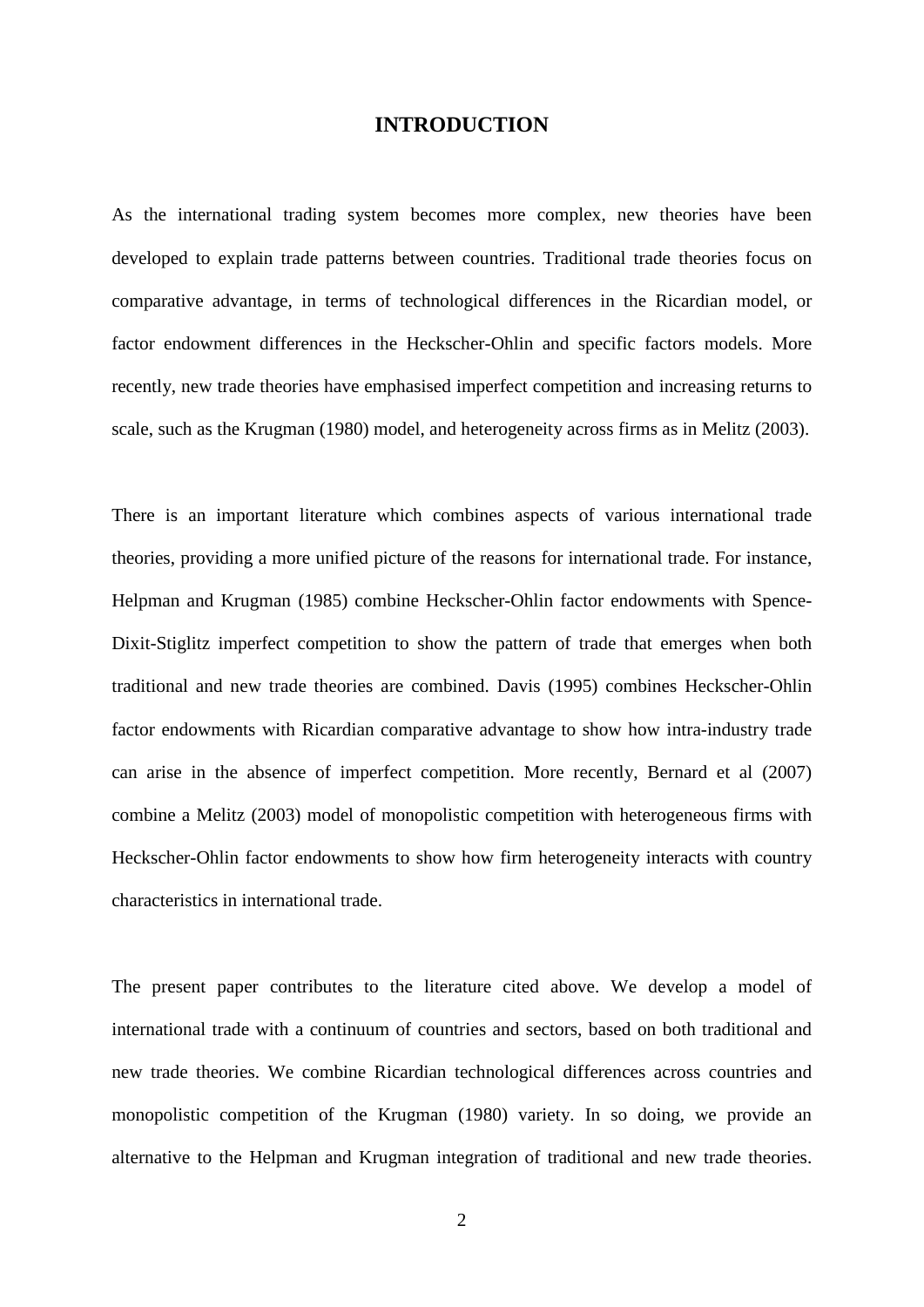#### **INTRODUCTION**

As the international trading system becomes more complex, new theories have been developed to explain trade patterns between countries. Traditional trade theories focus on comparative advantage, in terms of technological differences in the Ricardian model, or factor endowment differences in the Heckscher-Ohlin and specific factors models. More recently, new trade theories have emphasised imperfect competition and increasing returns to scale, such as the Krugman (1980) model, and heterogeneity across firms as in Melitz (2003).

There is an important literature which combines aspects of various international trade theories, providing a more unified picture of the reasons for international trade. For instance, Helpman and Krugman (1985) combine Heckscher-Ohlin factor endowments with Spence-Dixit-Stiglitz imperfect competition to show the pattern of trade that emerges when both traditional and new trade theories are combined. Davis (1995) combines Heckscher-Ohlin factor endowments with Ricardian comparative advantage to show how intra-industry trade can arise in the absence of imperfect competition. More recently, Bernard et al (2007) combine a Melitz (2003) model of monopolistic competition with heterogeneous firms with Heckscher-Ohlin factor endowments to show how firm heterogeneity interacts with country characteristics in international trade.

The present paper contributes to the literature cited above. We develop a model of international trade with a continuum of countries and sectors, based on both traditional and new trade theories. We combine Ricardian technological differences across countries and monopolistic competition of the Krugman (1980) variety. In so doing, we provide an alternative to the Helpman and Krugman integration of traditional and new trade theories.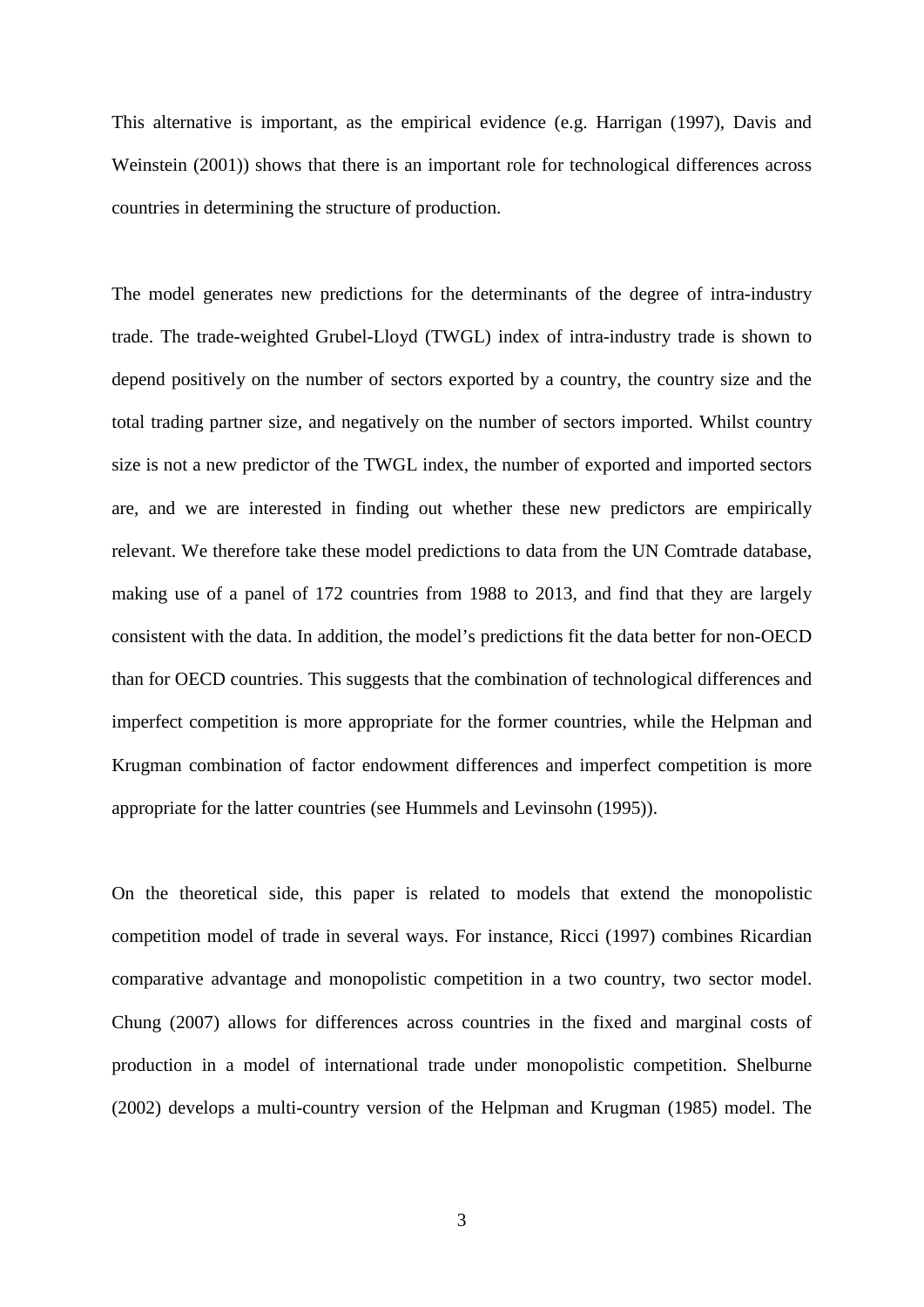This alternative is important, as the empirical evidence (e.g. Harrigan (1997), Davis and Weinstein (2001)) shows that there is an important role for technological differences across countries in determining the structure of production.

The model generates new predictions for the determinants of the degree of intra-industry trade. The trade-weighted Grubel-Lloyd (TWGL) index of intra-industry trade is shown to depend positively on the number of sectors exported by a country, the country size and the total trading partner size, and negatively on the number of sectors imported. Whilst country size is not a new predictor of the TWGL index, the number of exported and imported sectors are, and we are interested in finding out whether these new predictors are empirically relevant. We therefore take these model predictions to data from the UN Comtrade database, making use of a panel of 172 countries from 1988 to 2013, and find that they are largely consistent with the data. In addition, the model's predictions fit the data better for non-OECD than for OECD countries. This suggests that the combination of technological differences and imperfect competition is more appropriate for the former countries, while the Helpman and Krugman combination of factor endowment differences and imperfect competition is more appropriate for the latter countries (see Hummels and Levinsohn (1995)).

On the theoretical side, this paper is related to models that extend the monopolistic competition model of trade in several ways. For instance, Ricci (1997) combines Ricardian comparative advantage and monopolistic competition in a two country, two sector model. Chung (2007) allows for differences across countries in the fixed and marginal costs of production in a model of international trade under monopolistic competition. Shelburne (2002) develops a multi-country version of the Helpman and Krugman (1985) model. The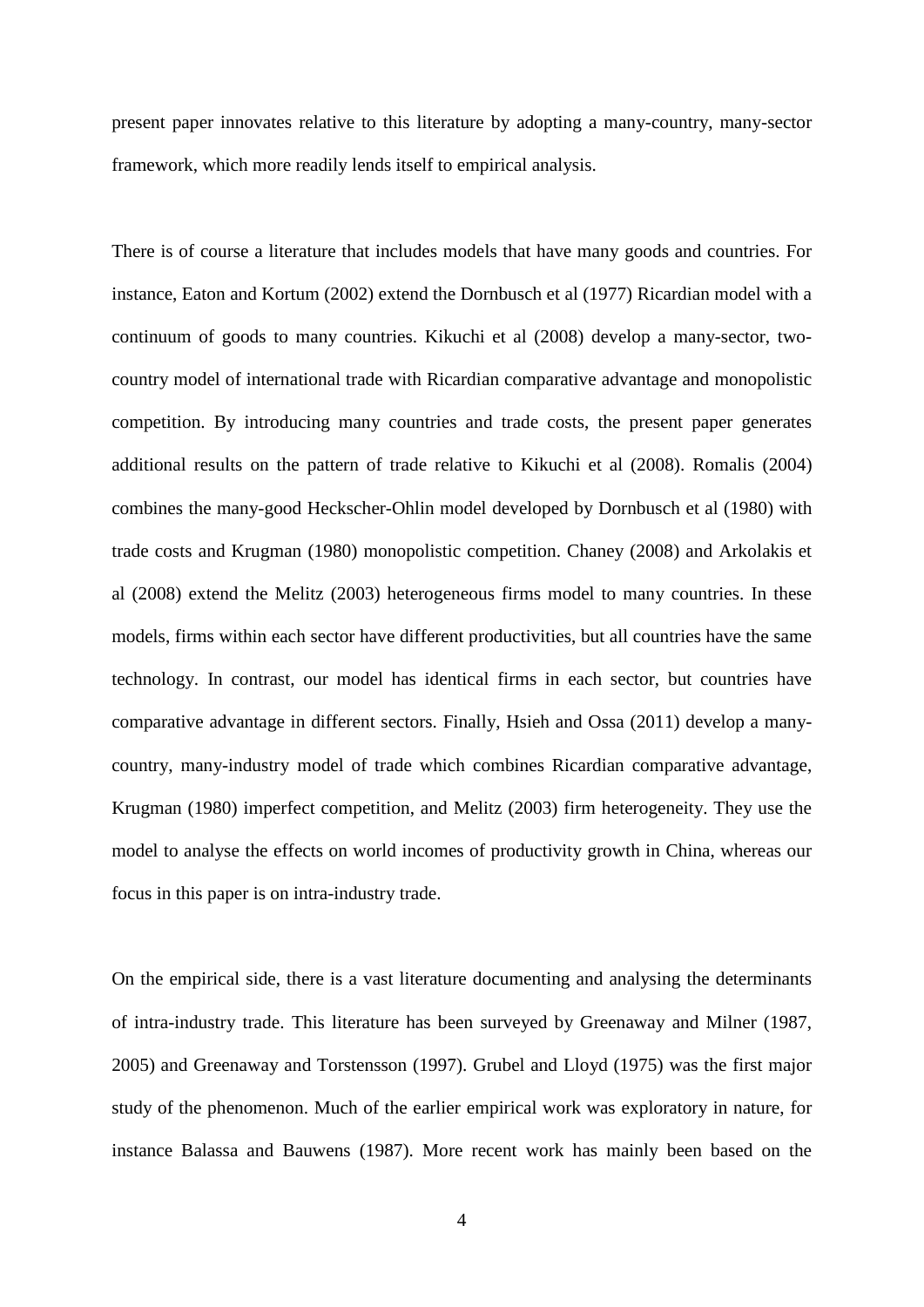present paper innovates relative to this literature by adopting a many-country, many-sector framework, which more readily lends itself to empirical analysis.

There is of course a literature that includes models that have many goods and countries. For instance, Eaton and Kortum (2002) extend the Dornbusch et al (1977) Ricardian model with a continuum of goods to many countries. Kikuchi et al (2008) develop a many-sector, twocountry model of international trade with Ricardian comparative advantage and monopolistic competition. By introducing many countries and trade costs, the present paper generates additional results on the pattern of trade relative to Kikuchi et al (2008). Romalis (2004) combines the many-good Heckscher-Ohlin model developed by Dornbusch et al (1980) with trade costs and Krugman (1980) monopolistic competition. Chaney (2008) and Arkolakis et al (2008) extend the Melitz (2003) heterogeneous firms model to many countries. In these models, firms within each sector have different productivities, but all countries have the same technology. In contrast, our model has identical firms in each sector, but countries have comparative advantage in different sectors. Finally, Hsieh and Ossa (2011) develop a manycountry, many-industry model of trade which combines Ricardian comparative advantage, Krugman (1980) imperfect competition, and Melitz (2003) firm heterogeneity. They use the model to analyse the effects on world incomes of productivity growth in China, whereas our focus in this paper is on intra-industry trade.

On the empirical side, there is a vast literature documenting and analysing the determinants of intra-industry trade. This literature has been surveyed by Greenaway and Milner (1987, 2005) and Greenaway and Torstensson (1997). Grubel and Lloyd (1975) was the first major study of the phenomenon. Much of the earlier empirical work was exploratory in nature, for instance Balassa and Bauwens (1987). More recent work has mainly been based on the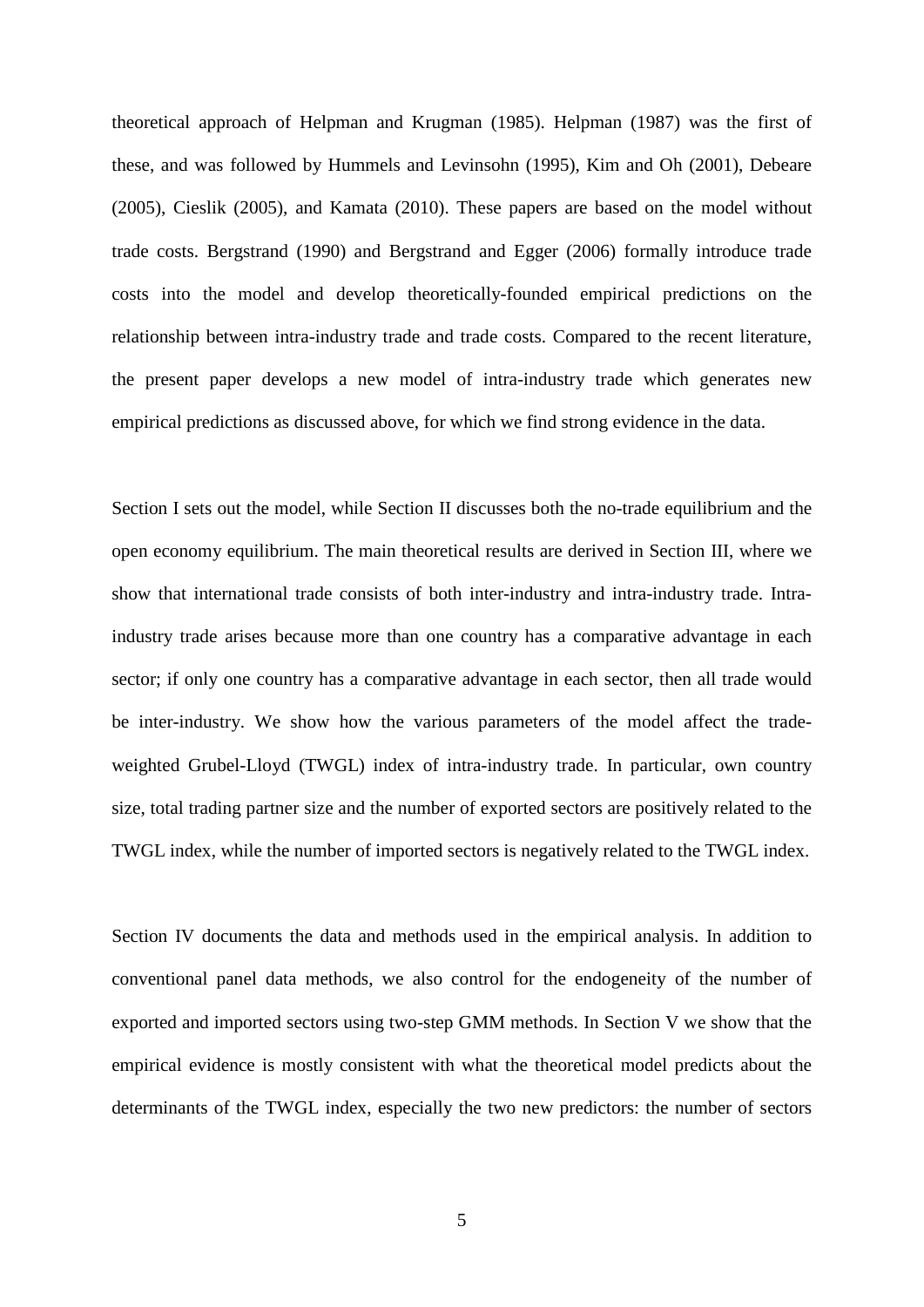theoretical approach of Helpman and Krugman (1985). Helpman (1987) was the first of these, and was followed by Hummels and Levinsohn (1995), Kim and Oh (2001), Debeare (2005), Cieslik (2005), and Kamata (2010). These papers are based on the model without trade costs. Bergstrand (1990) and Bergstrand and Egger (2006) formally introduce trade costs into the model and develop theoretically-founded empirical predictions on the relationship between intra-industry trade and trade costs. Compared to the recent literature, the present paper develops a new model of intra-industry trade which generates new empirical predictions as discussed above, for which we find strong evidence in the data.

Section I sets out the model, while Section II discusses both the no-trade equilibrium and the open economy equilibrium. The main theoretical results are derived in Section III, where we show that international trade consists of both inter-industry and intra-industry trade. Intraindustry trade arises because more than one country has a comparative advantage in each sector; if only one country has a comparative advantage in each sector, then all trade would be inter-industry. We show how the various parameters of the model affect the tradeweighted Grubel-Lloyd (TWGL) index of intra-industry trade. In particular, own country size, total trading partner size and the number of exported sectors are positively related to the TWGL index, while the number of imported sectors is negatively related to the TWGL index.

Section IV documents the data and methods used in the empirical analysis. In addition to conventional panel data methods, we also control for the endogeneity of the number of exported and imported sectors using two-step GMM methods. In Section V we show that the empirical evidence is mostly consistent with what the theoretical model predicts about the determinants of the TWGL index, especially the two new predictors: the number of sectors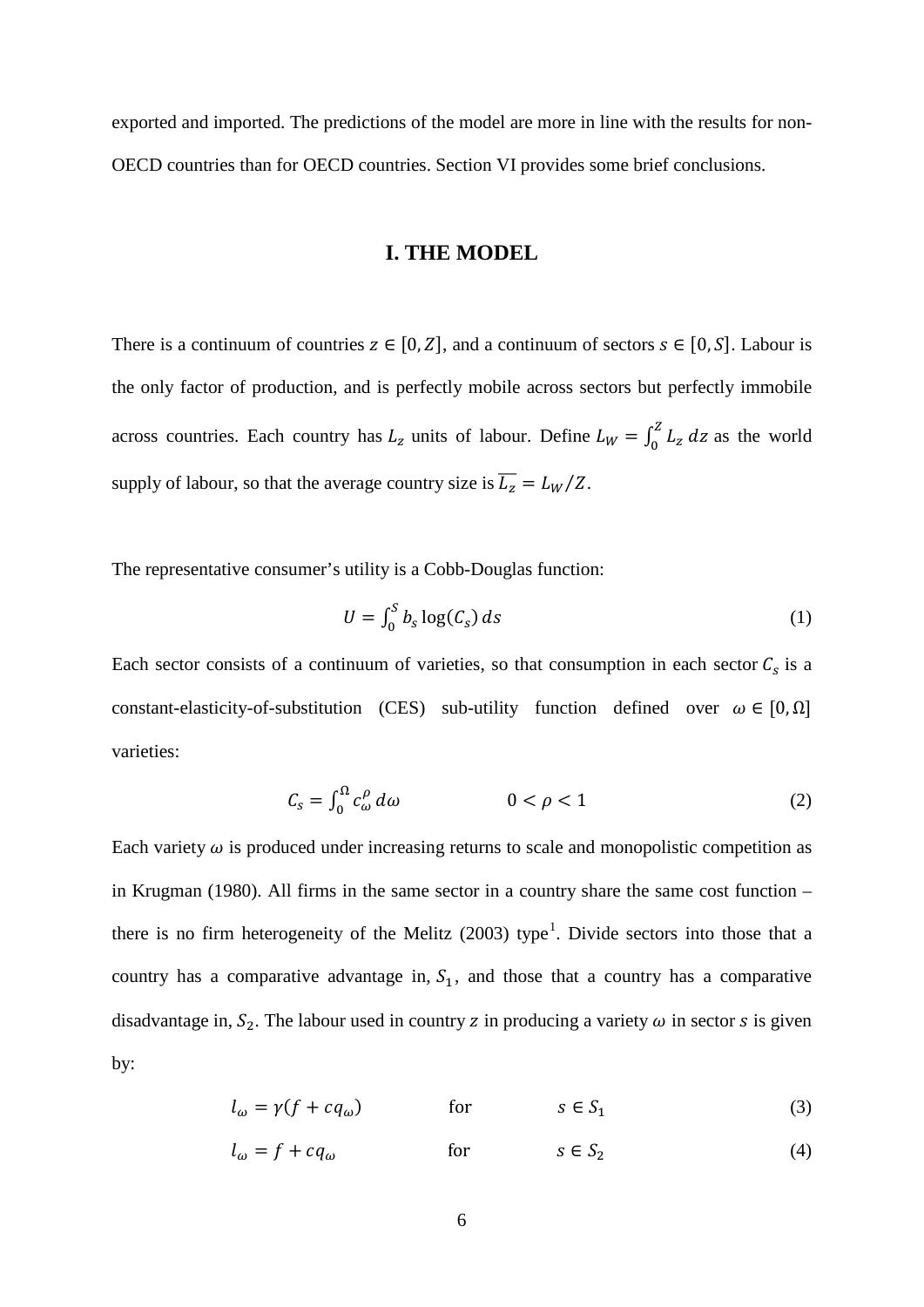exported and imported. The predictions of the model are more in line with the results for non-OECD countries than for OECD countries. Section VI provides some brief conclusions.

## **I. THE MODEL**

There is a continuum of countries  $z \in [0, Z]$ , and a continuum of sectors  $s \in [0, S]$ . Labour is the only factor of production, and is perfectly mobile across sectors but perfectly immobile across countries. Each country has  $L_z$  units of labour. Define  $L_W = \int_0^z L_z dz$  as the world supply of labour, so that the average country size is  $\overline{L_z} = L_W/Z$ .

The representative consumer's utility is a Cobb-Douglas function:

$$
U = \int_0^S b_S \log(C_S) \, ds \tag{1}
$$

Each sector consists of a continuum of varieties, so that consumption in each sector  $C_s$  is a constant-elasticity-of-substitution (CES) sub-utility function defined over  $\omega \in [0, \Omega]$ varieties:

$$
C_{\rm s} = \int_0^{\Omega} c_{\omega}^{\rho} \, d\omega \qquad \qquad 0 < \rho < 1 \tag{2}
$$

Each variety  $\omega$  is produced under increasing returns to scale and monopolistic competition as in Krugman (1980). All firms in the same sector in a country share the same cost function – there is no firm heterogeneity of the Melitz  $(2003)$  type<sup>[1](#page-22-0)</sup>. Divide sectors into those that a country has a comparative advantage in,  $S_1$ , and those that a country has a comparative disadvantage in,  $S_2$ . The labour used in country z in producing a variety  $\omega$  in sector s is given by:

$$
l_{\omega} = \gamma (f + c q_{\omega}) \qquad \text{for} \qquad s \in S_1 \tag{3}
$$

$$
l_{\omega} = f + cq_{\omega} \qquad \text{for} \qquad s \in S_2 \tag{4}
$$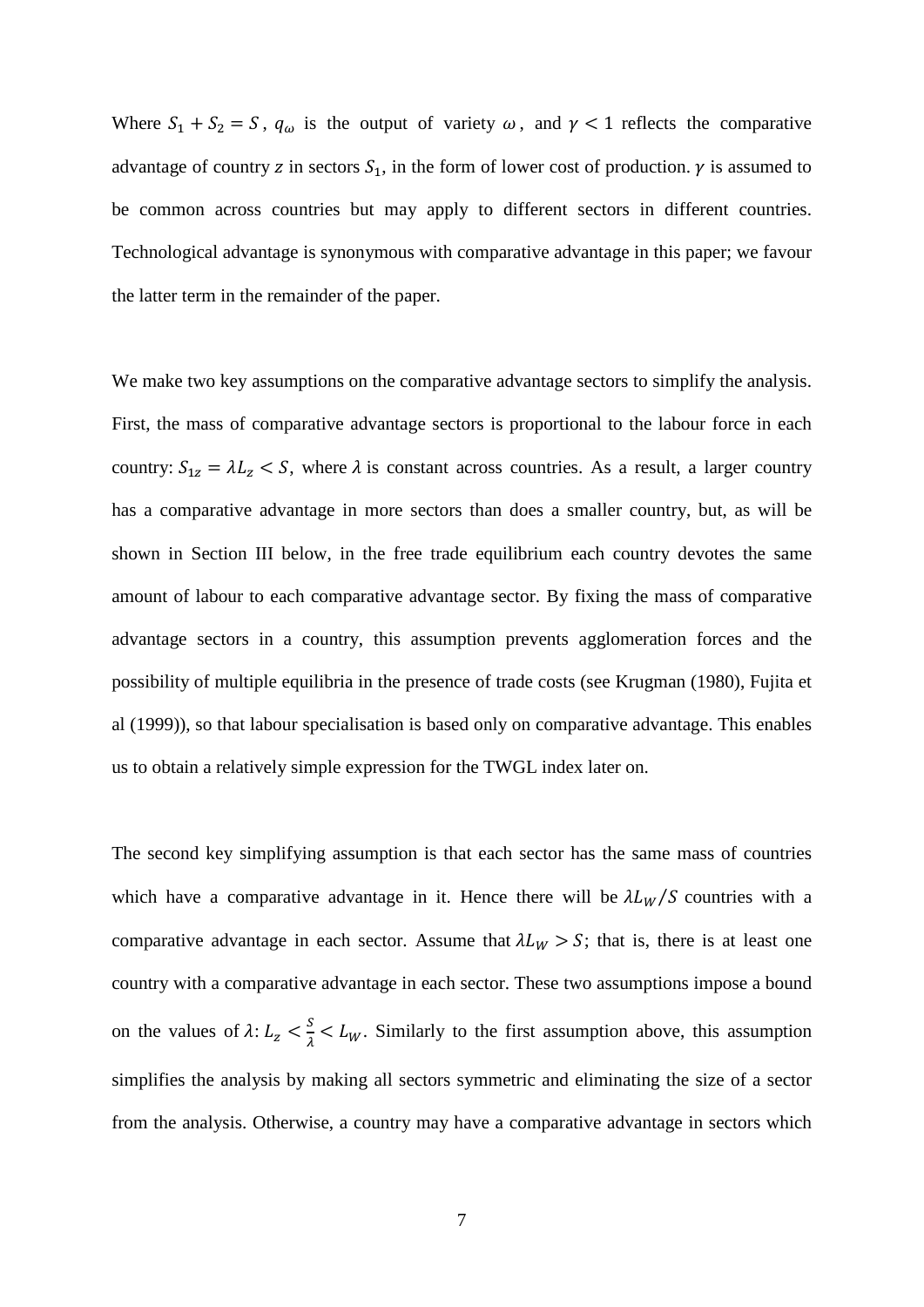Where  $S_1 + S_2 = S$ ,  $q_\omega$  is the output of variety  $\omega$ , and  $\gamma < 1$  reflects the comparative advantage of country z in sectors  $S_1$ , in the form of lower cost of production.  $\gamma$  is assumed to be common across countries but may apply to different sectors in different countries. Technological advantage is synonymous with comparative advantage in this paper; we favour the latter term in the remainder of the paper.

We make two key assumptions on the comparative advantage sectors to simplify the analysis. First, the mass of comparative advantage sectors is proportional to the labour force in each country:  $S_{1z} = \lambda L_z < S$ , where  $\lambda$  is constant across countries. As a result, a larger country has a comparative advantage in more sectors than does a smaller country, but, as will be shown in Section III below, in the free trade equilibrium each country devotes the same amount of labour to each comparative advantage sector. By fixing the mass of comparative advantage sectors in a country, this assumption prevents agglomeration forces and the possibility of multiple equilibria in the presence of trade costs (see Krugman (1980), Fujita et al (1999)), so that labour specialisation is based only on comparative advantage. This enables us to obtain a relatively simple expression for the TWGL index later on.

The second key simplifying assumption is that each sector has the same mass of countries which have a comparative advantage in it. Hence there will be  $\lambda L_W/S$  countries with a comparative advantage in each sector. Assume that  $\lambda L_W > S$ ; that is, there is at least one country with a comparative advantage in each sector. These two assumptions impose a bound on the values of  $\lambda: L_z < \frac{s}{\lambda} < L_w$ . Similarly to the first assumption above, this assumption simplifies the analysis by making all sectors symmetric and eliminating the size of a sector from the analysis. Otherwise, a country may have a comparative advantage in sectors which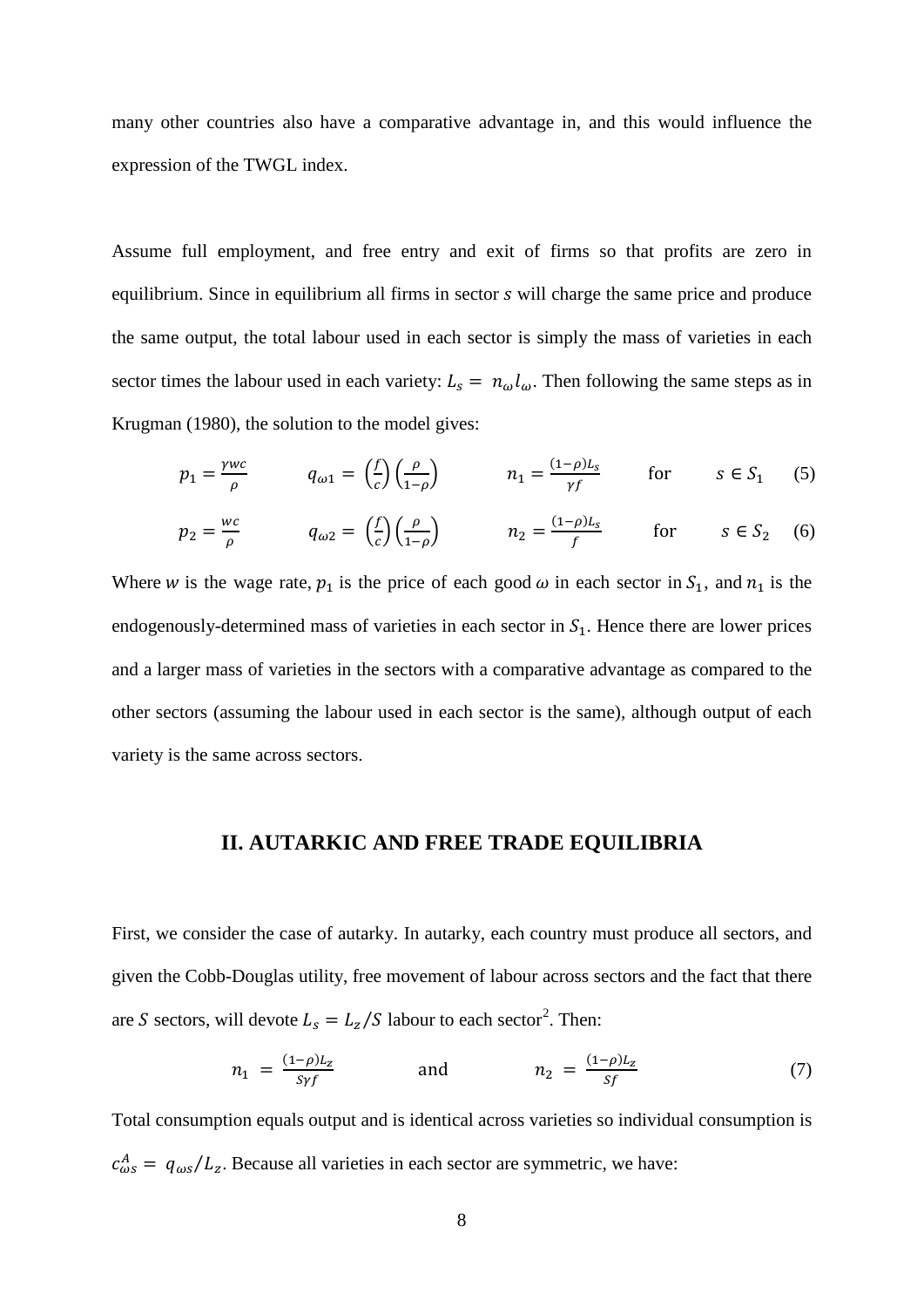many other countries also have a comparative advantage in, and this would influence the expression of the TWGL index.

Assume full employment, and free entry and exit of firms so that profits are zero in equilibrium. Since in equilibrium all firms in sector *s* will charge the same price and produce the same output, the total labour used in each sector is simply the mass of varieties in each sector times the labour used in each variety:  $L_s = n_\omega l_\omega$ . Then following the same steps as in Krugman (1980), the solution to the model gives:

$$
p_1 = \frac{\gamma w c}{\rho} \qquad q_{\omega 1} = \left(\frac{f}{c}\right) \left(\frac{\rho}{1-\rho}\right) \qquad n_1 = \frac{(1-\rho)L_s}{\gamma f} \qquad \text{for} \qquad s \in S_1 \tag{5}
$$

$$
p_2 = \frac{wc}{\rho} \qquad q_{\omega 2} = \left(\frac{f}{c}\right)\left(\frac{\rho}{1-\rho}\right) \qquad n_2 = \frac{(1-\rho)L_s}{f} \qquad \text{for} \qquad s \in S_2 \quad (6)
$$

Where w is the wage rate,  $p_1$  is the price of each good  $\omega$  in each sector in  $S_1$ , and  $n_1$  is the endogenously-determined mass of varieties in each sector in  $S<sub>1</sub>$ . Hence there are lower prices and a larger mass of varieties in the sectors with a comparative advantage as compared to the other sectors (assuming the labour used in each sector is the same), although output of each variety is the same across sectors.

## **II. AUTARKIC AND FREE TRADE EQUILIBRIA**

First, we consider the case of autarky. In autarky, each country must produce all sectors, and given the Cobb-Douglas utility, free movement of labour across sectors and the fact that there are S sectors, will devote  $L_s = L_z/S$  labour to each sector<sup>[2](#page-22-1)</sup>. Then:

$$
n_1 = \frac{(1-\rho)L_z}{Sy} \quad \text{and} \quad n_2 = \frac{(1-\rho)L_z}{Sf} \tag{7}
$$

Total consumption equals output and is identical across varieties so individual consumption is  $c_{\omega s}^A = q_{\omega s}/L_z$ . Because all varieties in each sector are symmetric, we have: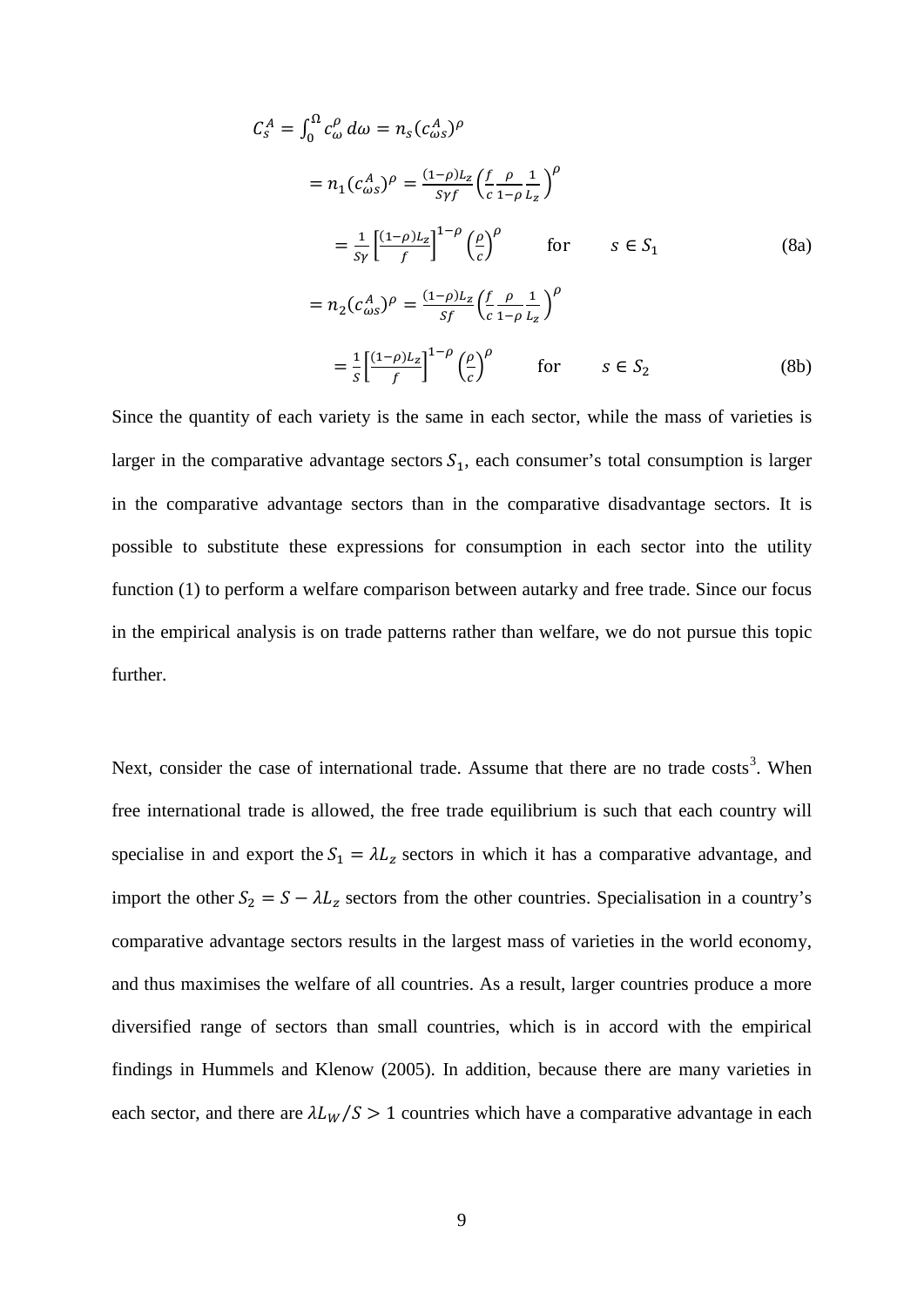$$
C_s^A = \int_0^\Omega c_\omega^\rho d\omega = n_s (c_{\omega s}^A)^\rho
$$
  
=  $n_1 (c_{\omega s}^A)^\rho = \frac{(1-\rho)L_z}{s\gamma f} \left(\frac{f}{c} - \frac{\rho}{1-\rho} \frac{1}{L_z}\right)^\rho$   
=  $\frac{1}{s\gamma} \left[\frac{(1-\rho)L_z}{f}\right]^{1-\rho} \left(\frac{\rho}{c}\right)^\rho$  for  $s \in S_1$  (8a)  
=  $n_2 (c_{\omega s}^A)^\rho = \frac{(1-\rho)L_z}{s f} \left(\frac{f}{c} - \frac{\rho}{1-\rho} \frac{1}{L_z}\right)^\rho$   
=  $\frac{1}{s} \left[\frac{(1-\rho)L_z}{f}\right]^{1-\rho} \left(\frac{\rho}{c}\right)^\rho$  for  $s \in S_2$  (8b)

Since the quantity of each variety is the same in each sector, while the mass of varieties is larger in the comparative advantage sectors  $S_1$ , each consumer's total consumption is larger in the comparative advantage sectors than in the comparative disadvantage sectors. It is possible to substitute these expressions for consumption in each sector into the utility function (1) to perform a welfare comparison between autarky and free trade. Since our focus in the empirical analysis is on trade patterns rather than welfare, we do not pursue this topic further.

Next, consider the case of international trade. Assume that there are no trade  $costs<sup>3</sup>$  $costs<sup>3</sup>$  $costs<sup>3</sup>$ . When free international trade is allowed, the free trade equilibrium is such that each country will specialise in and export the  $S_1 = \lambda L_z$  sectors in which it has a comparative advantage, and import the other  $S_2 = S - \lambda L_z$  sectors from the other countries. Specialisation in a country's comparative advantage sectors results in the largest mass of varieties in the world economy, and thus maximises the welfare of all countries. As a result, larger countries produce a more diversified range of sectors than small countries, which is in accord with the empirical findings in Hummels and Klenow (2005). In addition, because there are many varieties in each sector, and there are  $\lambda L_W/S > 1$  countries which have a comparative advantage in each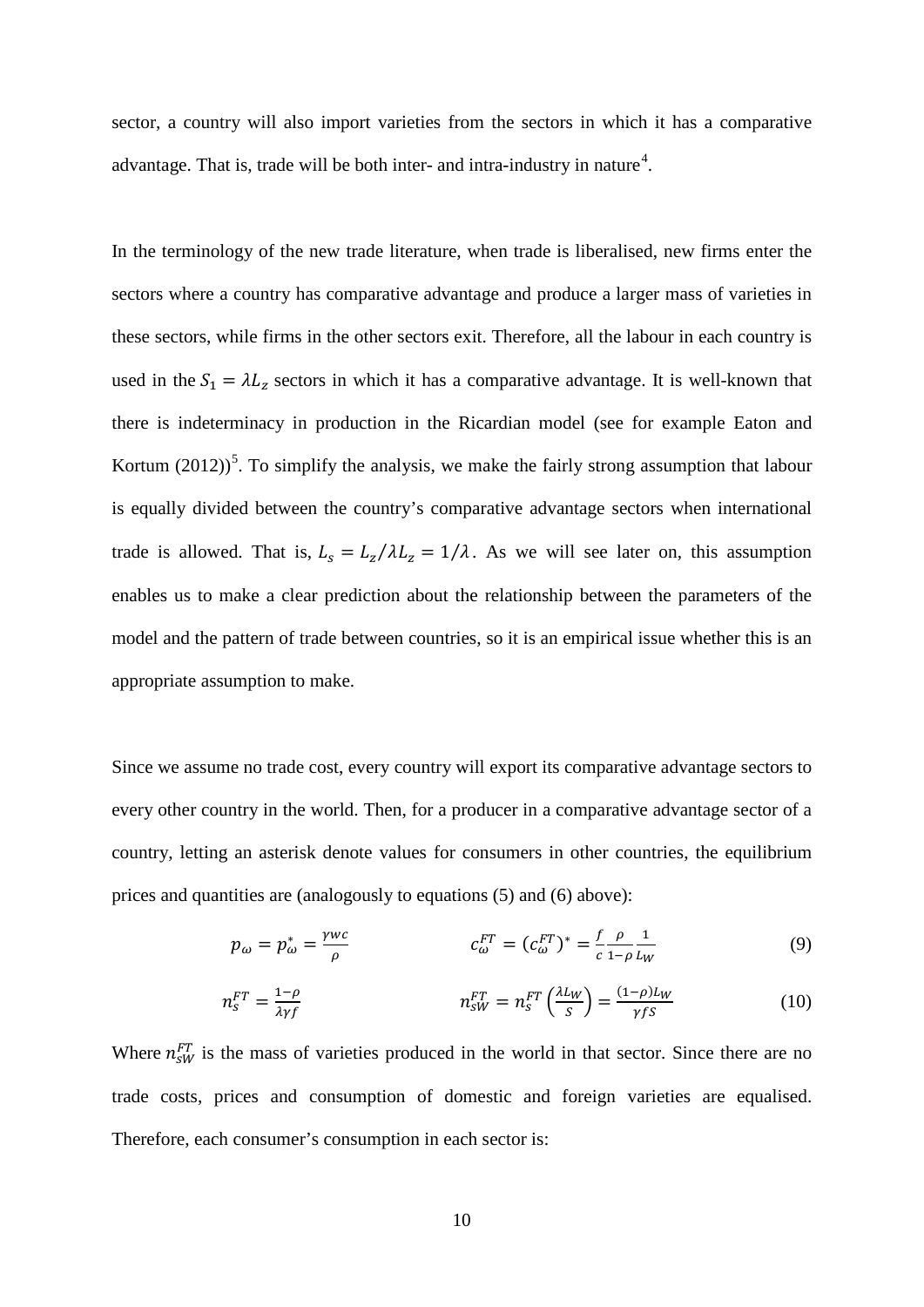sector, a country will also import varieties from the sectors in which it has a comparative advantage. That is, trade will be both inter- and intra-industry in nature<sup>[4](#page-24-0)</sup>.

In the terminology of the new trade literature, when trade is liberalised, new firms enter the sectors where a country has comparative advantage and produce a larger mass of varieties in these sectors, while firms in the other sectors exit. Therefore, all the labour in each country is used in the  $S_1 = \lambda L_z$  sectors in which it has a comparative advantage. It is well-known that there is indeterminacy in production in the Ricardian model (see for example Eaton and Kortum  $(2012)^5$  $(2012)^5$ . To simplify the analysis, we make the fairly strong assumption that labour is equally divided between the country's comparative advantage sectors when international trade is allowed. That is,  $L_s = L_z / \lambda L_z = 1 / \lambda$ . As we will see later on, this assumption enables us to make a clear prediction about the relationship between the parameters of the model and the pattern of trade between countries, so it is an empirical issue whether this is an appropriate assumption to make.

Since we assume no trade cost, every country will export its comparative advantage sectors to every other country in the world. Then, for a producer in a comparative advantage sector of a country, letting an asterisk denote values for consumers in other countries, the equilibrium prices and quantities are (analogously to equations (5) and (6) above):

$$
p_{\omega} = p_{\omega}^{*} = \frac{\gamma w c}{\rho} \qquad c_{\omega}^{FT} = (c_{\omega}^{FT})^{*} = \frac{f}{c} \frac{\rho}{1 - \rho} \frac{1}{L_{W}}
$$
(9)

$$
n_S^{FT} = \frac{1-\rho}{\lambda \gamma f} \qquad n_S^{FT} = n_S^{FT} \left(\frac{\lambda L_W}{S}\right) = \frac{(1-\rho)L_W}{\gamma f S} \tag{10}
$$

Where  $n_{SW}^{FT}$  is the mass of varieties produced in the world in that sector. Since there are no trade costs, prices and consumption of domestic and foreign varieties are equalised. Therefore, each consumer's consumption in each sector is: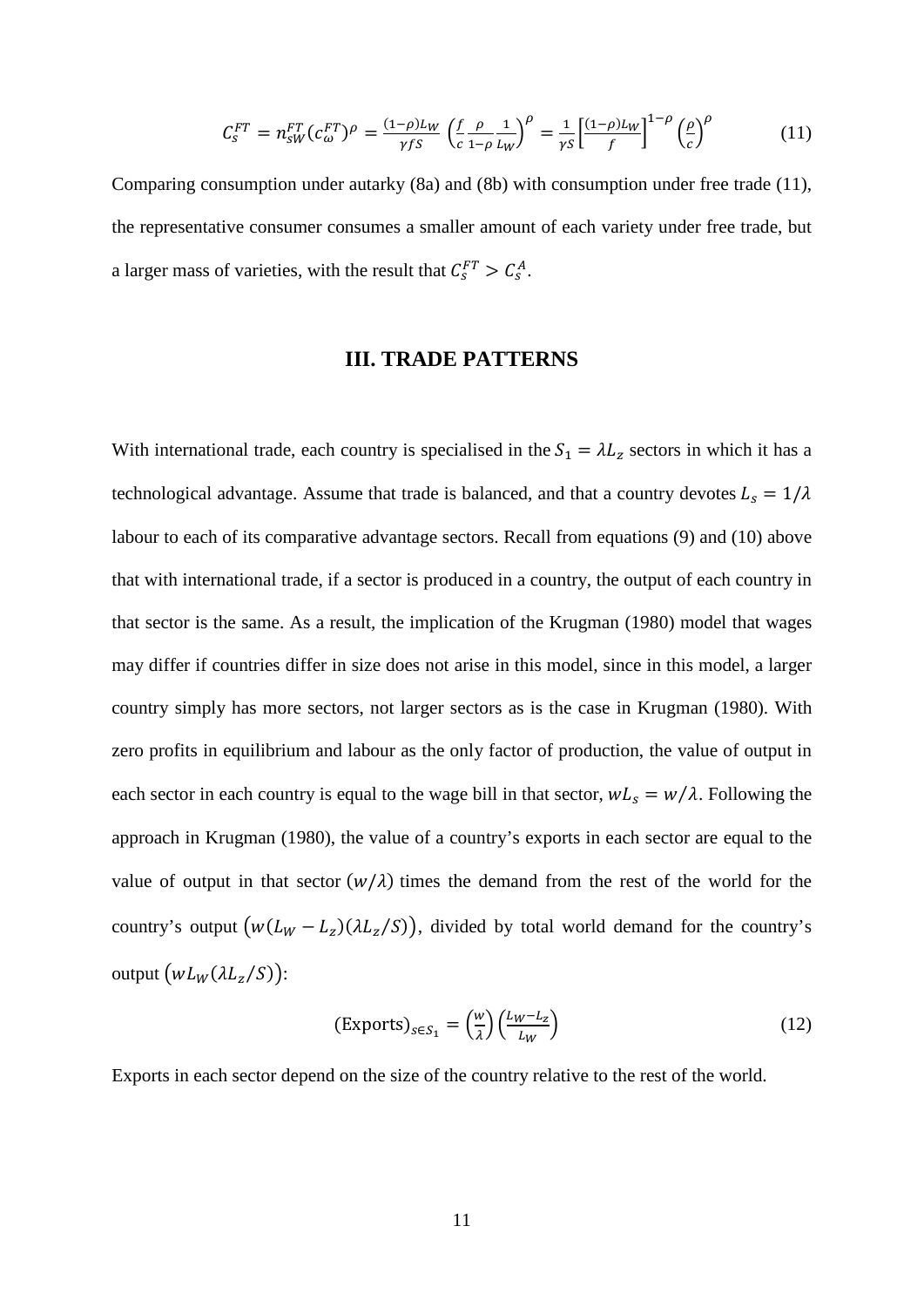$$
C_S^{FT} = n_{SW}^{FT} (c_{\omega}^{FT})^{\rho} = \frac{(1-\rho)L_W}{\gamma f s} \left(\frac{f}{c} \frac{\rho}{1-\rho} \frac{1}{L_W}\right)^{\rho} = \frac{1}{\gamma s} \left[\frac{(1-\rho)L_W}{f}\right]^{1-\rho} \left(\frac{\rho}{c}\right)^{\rho} \tag{11}
$$

Comparing consumption under autarky (8a) and (8b) with consumption under free trade (11), the representative consumer consumes a smaller amount of each variety under free trade, but a larger mass of varieties, with the result that  $C_s^{FT} > C_s^A$ .

## **III. TRADE PATTERNS**

With international trade, each country is specialised in the  $S_1 = \lambda L_z$  sectors in which it has a technological advantage. Assume that trade is balanced, and that a country devotes  $L_s = 1/\lambda$ labour to each of its comparative advantage sectors. Recall from equations (9) and (10) above that with international trade, if a sector is produced in a country, the output of each country in that sector is the same. As a result, the implication of the Krugman (1980) model that wages may differ if countries differ in size does not arise in this model, since in this model, a larger country simply has more sectors, not larger sectors as is the case in Krugman (1980). With zero profits in equilibrium and labour as the only factor of production, the value of output in each sector in each country is equal to the wage bill in that sector,  $wL_s = w/\lambda$ . Following the approach in Krugman (1980), the value of a country's exports in each sector are equal to the value of output in that sector  $(w/\lambda)$  times the demand from the rest of the world for the country's output  $(w (L_W - L_z) (\lambda L_z / S))$ , divided by total world demand for the country's output  $(wL_W(\lambda L_z/S))$ :

$$
(\text{Exports})_{s \in S_1} = \left(\frac{w}{\lambda}\right) \left(\frac{L_W - L_z}{L_W}\right) \tag{12}
$$

Exports in each sector depend on the size of the country relative to the rest of the world.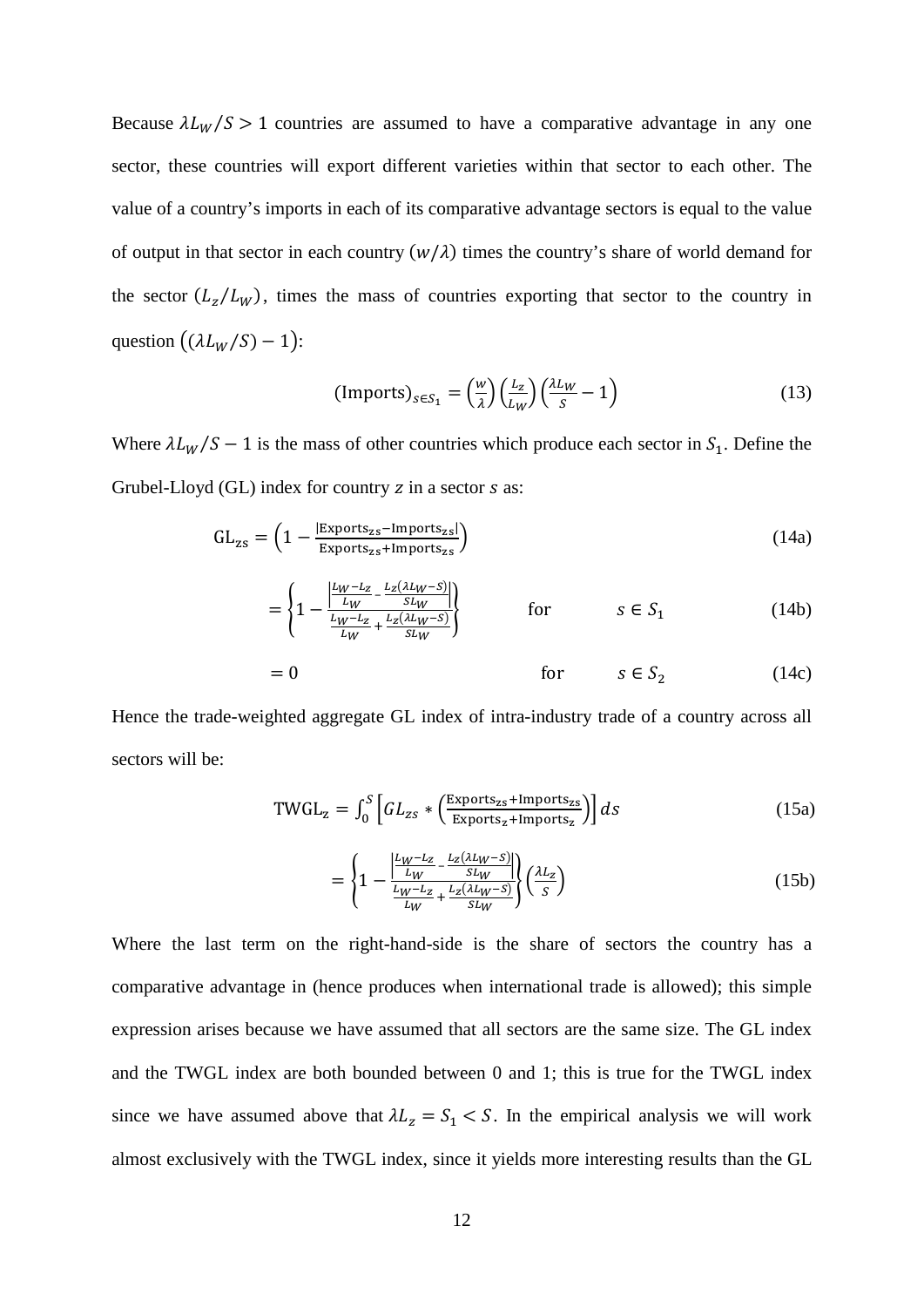Because  $\lambda L_W/S > 1$  countries are assumed to have a comparative advantage in any one sector, these countries will export different varieties within that sector to each other. The value of a country's imports in each of its comparative advantage sectors is equal to the value of output in that sector in each country  $(w/\lambda)$  times the country's share of world demand for the sector  $(L_z/L_w)$ , times the mass of countries exporting that sector to the country in question  $((\lambda L_W/S) - 1)$ :

$$
(\text{Imports})_{s \in S_1} = \left(\frac{w}{\lambda}\right) \left(\frac{L_z}{L_W}\right) \left(\frac{\lambda L_W}{s} - 1\right) \tag{13}
$$

Where  $\lambda L_W/S - 1$  is the mass of other countries which produce each sector in  $S_1$ . Define the Grubel-Lloyd  $(GL)$  index for country  $z$  in a sector  $s$  as:

$$
GL_{zs} = \left(1 - \frac{|Exports_{zs} - Imports_{zs}|}{Exports_{zs} + Imports_{zs}}\right)
$$
\n(14a)

$$
= \left\{ 1 - \frac{\left| \frac{L_W - L_Z}{L_W} - \frac{L_Z(\lambda L_W - S)}{SL_W} \right|}{\frac{L_W - L_Z}{SL_W} + \frac{L_Z(\lambda L_W - S)}{SL_W}} \right\}
$$
 for  $s \in S_1$  (14b)

$$
= 0 \qquad \qquad \text{for} \qquad s \in S_2 \qquad (14c)
$$

Hence the trade-weighted aggregate GL index of intra-industry trade of a country across all sectors will be:

$$
TWGL_z = \int_0^S \left[ GL_{zs} * \left( \frac{Exports_{zs} + Imports_{zs}}{Exports_{z} + Imports_{z}} \right) \right] ds
$$
 (15a)

$$
= \left\{ 1 - \frac{\left| \frac{L_W - L_Z}{L_W} - \frac{L_Z(\lambda L_W - S)}{SL_W} \right|}{\frac{L_W - L_Z}{L_W} + \frac{L_Z(\lambda L_W - S)}{SL_W}} \right\} \left( \frac{\lambda L_Z}{S} \right) \tag{15b}
$$

Where the last term on the right-hand-side is the share of sectors the country has a comparative advantage in (hence produces when international trade is allowed); this simple expression arises because we have assumed that all sectors are the same size. The GL index and the TWGL index are both bounded between 0 and 1; this is true for the TWGL index since we have assumed above that  $\lambda L_z = S_1 \leq S$ . In the empirical analysis we will work almost exclusively with the TWGL index, since it yields more interesting results than the GL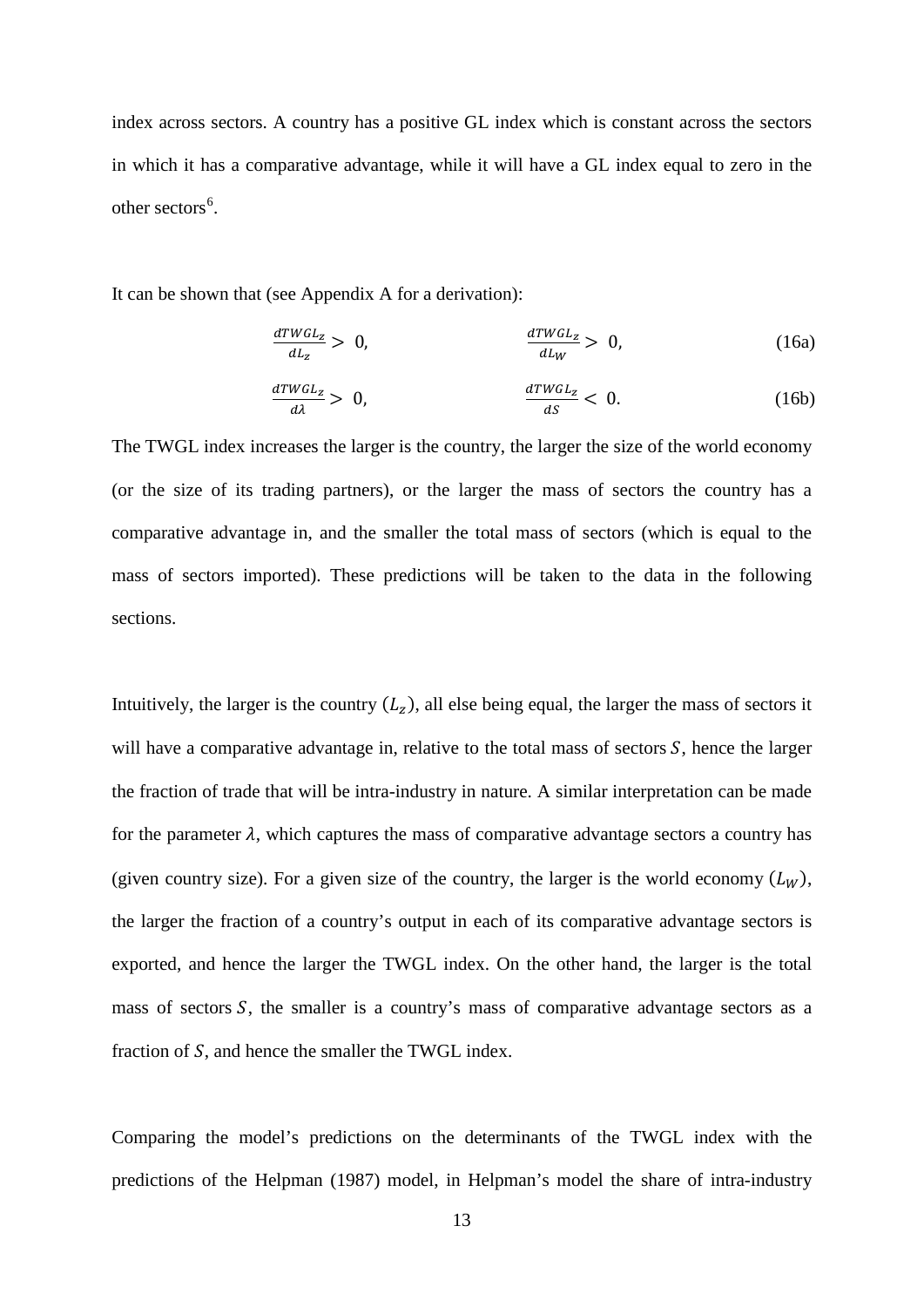index across sectors. A country has a positive GL index which is constant across the sectors in which it has a comparative advantage, while it will have a GL index equal to zero in the other sectors<sup>[6](#page-25-0)</sup>.

It can be shown that (see Appendix A for a derivation):

$$
\frac{d \textit{TWGL}_z}{d \textit{L}_z} > 0, \qquad \frac{d \textit{TWGL}_z}{d \textit{L}_W} > 0, \qquad (16a)
$$

$$
\frac{d \textit{TWGL}_z}{d\lambda} > 0,\n\qquad \qquad \frac{d \textit{TWGL}_z}{d\textit{S}} < 0.\n\tag{16b}
$$

The TWGL index increases the larger is the country, the larger the size of the world economy (or the size of its trading partners), or the larger the mass of sectors the country has a comparative advantage in, and the smaller the total mass of sectors (which is equal to the mass of sectors imported). These predictions will be taken to the data in the following sections.

Intuitively, the larger is the country  $(L_z)$ , all else being equal, the larger the mass of sectors it will have a comparative advantage in, relative to the total mass of sectors  $S$ , hence the larger the fraction of trade that will be intra-industry in nature. A similar interpretation can be made for the parameter  $\lambda$ , which captures the mass of comparative advantage sectors a country has (given country size). For a given size of the country, the larger is the world economy  $(L_W)$ , the larger the fraction of a country's output in each of its comparative advantage sectors is exported, and hence the larger the TWGL index. On the other hand, the larger is the total mass of sectors  $S$ , the smaller is a country's mass of comparative advantage sectors as a fraction of  $S$ , and hence the smaller the TWGL index.

Comparing the model's predictions on the determinants of the TWGL index with the predictions of the Helpman (1987) model, in Helpman's model the share of intra-industry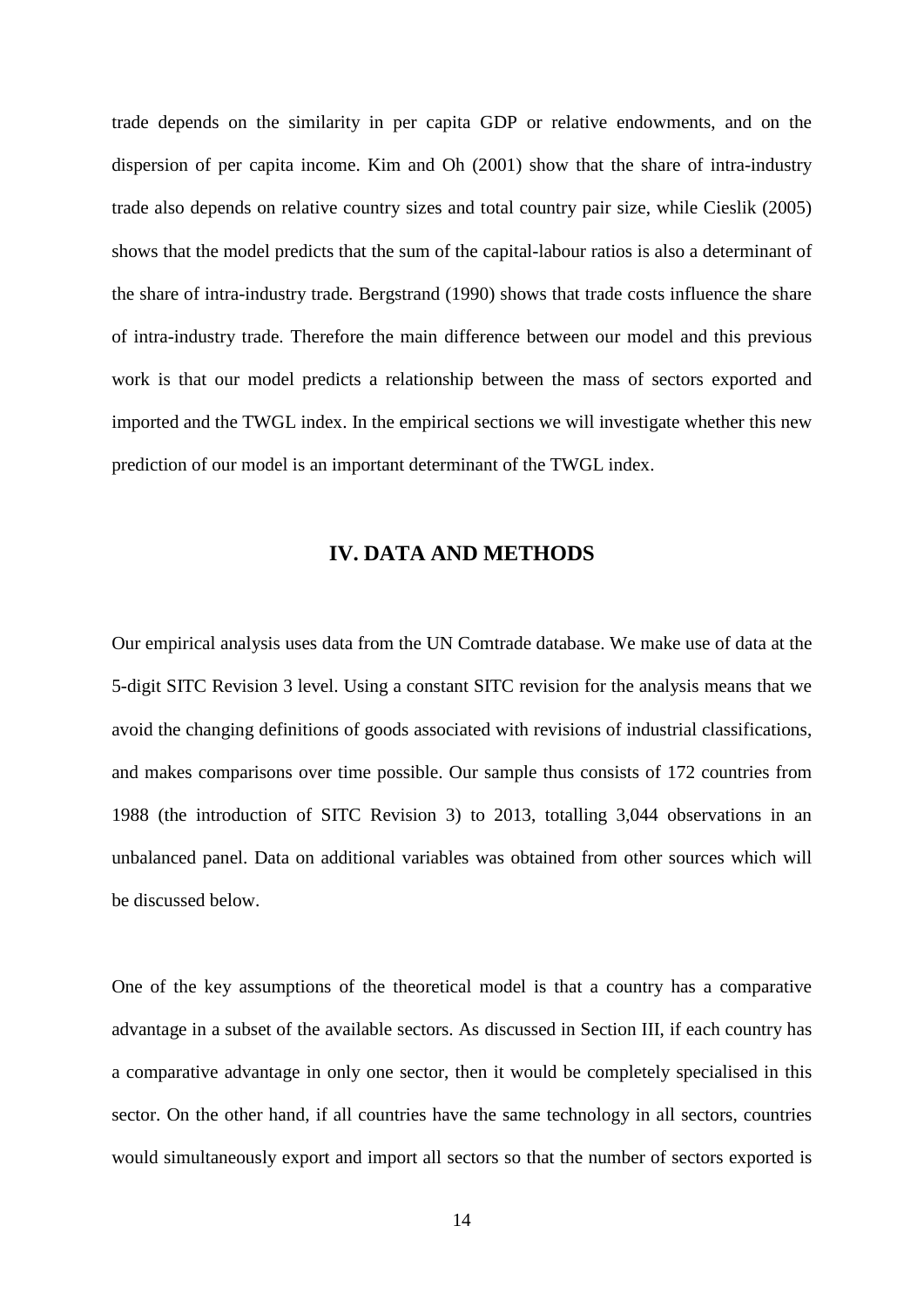trade depends on the similarity in per capita GDP or relative endowments, and on the dispersion of per capita income. Kim and Oh (2001) show that the share of intra-industry trade also depends on relative country sizes and total country pair size, while Cieslik (2005) shows that the model predicts that the sum of the capital-labour ratios is also a determinant of the share of intra-industry trade. Bergstrand (1990) shows that trade costs influence the share of intra-industry trade. Therefore the main difference between our model and this previous work is that our model predicts a relationship between the mass of sectors exported and imported and the TWGL index. In the empirical sections we will investigate whether this new prediction of our model is an important determinant of the TWGL index.

# **IV. DATA AND METHODS**

Our empirical analysis uses data from the UN Comtrade database. We make use of data at the 5-digit SITC Revision 3 level. Using a constant SITC revision for the analysis means that we avoid the changing definitions of goods associated with revisions of industrial classifications, and makes comparisons over time possible. Our sample thus consists of 172 countries from 1988 (the introduction of SITC Revision 3) to 2013, totalling 3,044 observations in an unbalanced panel. Data on additional variables was obtained from other sources which will be discussed below.

One of the key assumptions of the theoretical model is that a country has a comparative advantage in a subset of the available sectors. As discussed in Section III, if each country has a comparative advantage in only one sector, then it would be completely specialised in this sector. On the other hand, if all countries have the same technology in all sectors, countries would simultaneously export and import all sectors so that the number of sectors exported is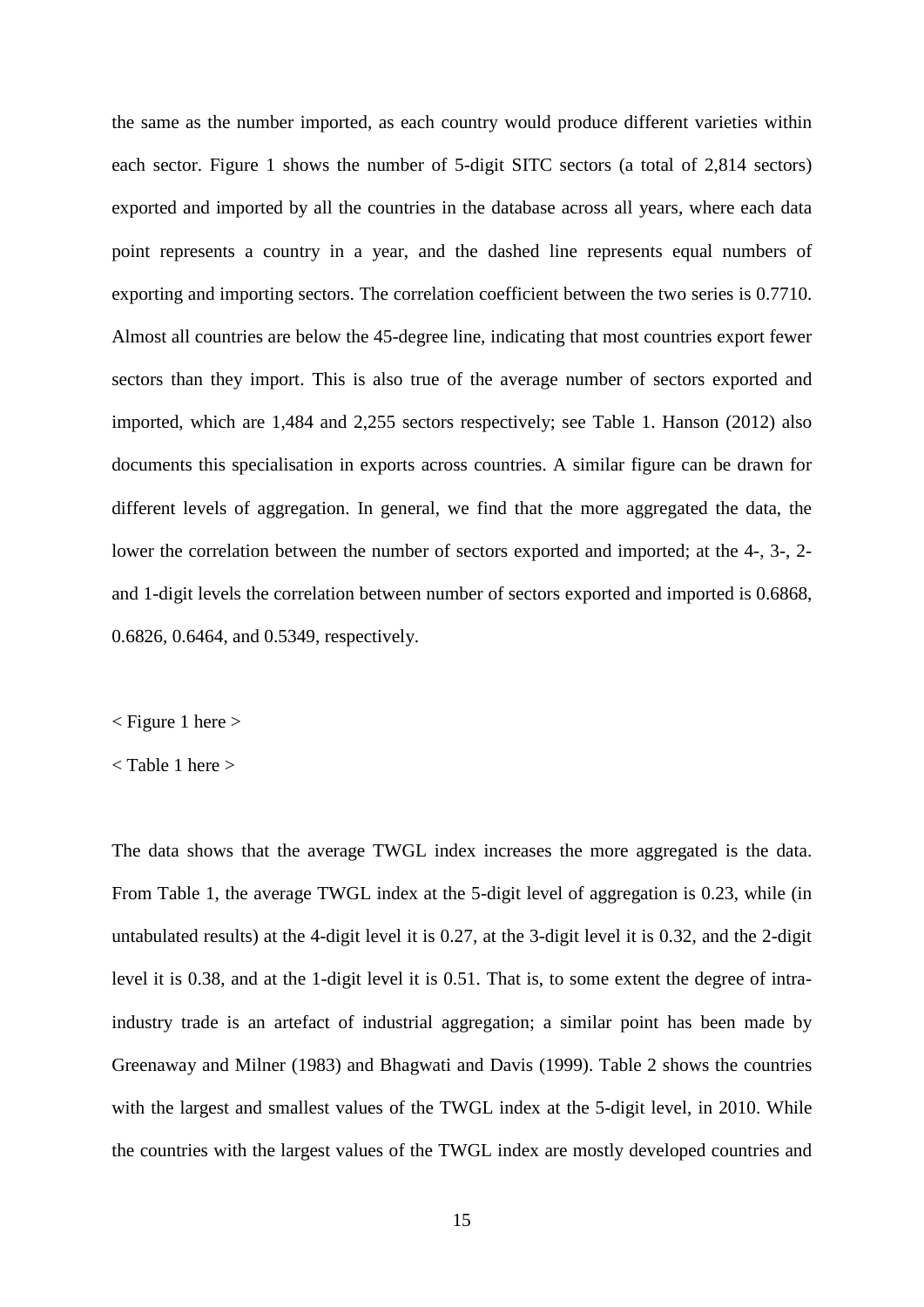the same as the number imported, as each country would produce different varieties within each sector. Figure 1 shows the number of 5-digit SITC sectors (a total of 2,814 sectors) exported and imported by all the countries in the database across all years, where each data point represents a country in a year, and the dashed line represents equal numbers of exporting and importing sectors. The correlation coefficient between the two series is 0.7710. Almost all countries are below the 45-degree line, indicating that most countries export fewer sectors than they import. This is also true of the average number of sectors exported and imported, which are 1,484 and 2,255 sectors respectively; see Table 1. Hanson (2012) also documents this specialisation in exports across countries. A similar figure can be drawn for different levels of aggregation. In general, we find that the more aggregated the data, the lower the correlation between the number of sectors exported and imported; at the 4-, 3-, 2 and 1-digit levels the correlation between number of sectors exported and imported is 0.6868, 0.6826, 0.6464, and 0.5349, respectively.

 $\langle$  Figure 1 here  $\rangle$ 

The data shows that the average TWGL index increases the more aggregated is the data. From Table 1, the average TWGL index at the 5-digit level of aggregation is 0.23, while (in untabulated results) at the 4-digit level it is 0.27, at the 3-digit level it is 0.32, and the 2-digit level it is 0.38, and at the 1-digit level it is 0.51. That is, to some extent the degree of intraindustry trade is an artefact of industrial aggregation; a similar point has been made by Greenaway and Milner (1983) and Bhagwati and Davis (1999). Table 2 shows the countries with the largest and smallest values of the TWGL index at the 5-digit level, in 2010. While the countries with the largest values of the TWGL index are mostly developed countries and

<sup>&</sup>lt; Table 1 here >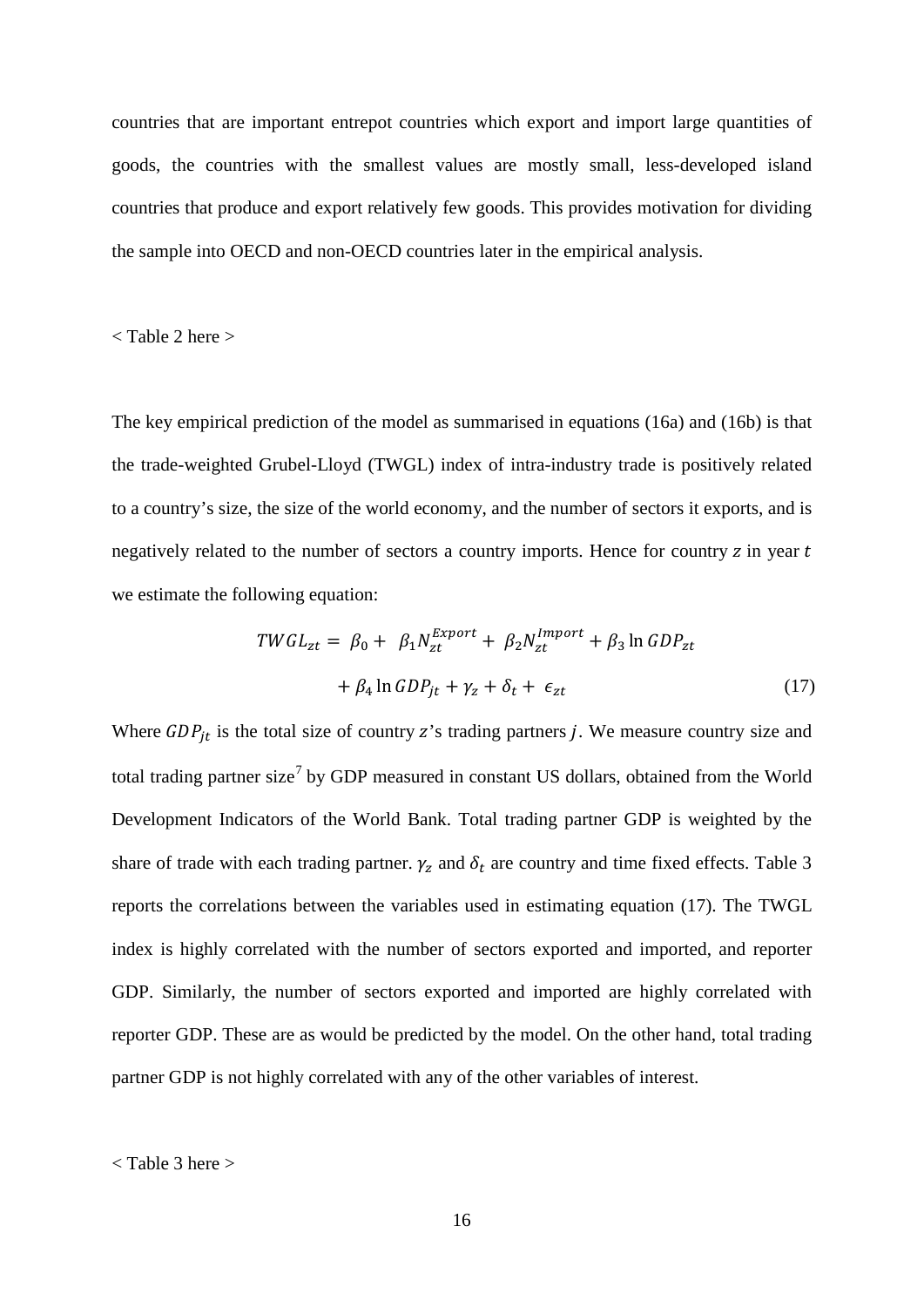countries that are important entrepot countries which export and import large quantities of goods, the countries with the smallest values are mostly small, less-developed island countries that produce and export relatively few goods. This provides motivation for dividing the sample into OECD and non-OECD countries later in the empirical analysis.

< Table 2 here >

The key empirical prediction of the model as summarised in equations (16a) and (16b) is that the trade-weighted Grubel-Lloyd (TWGL) index of intra-industry trade is positively related to a country's size, the size of the world economy, and the number of sectors it exports, and is negatively related to the number of sectors a country imports. Hence for country  $z$  in year  $t$ we estimate the following equation:

$$
TWGL_{zt} = \beta_0 + \beta_1 N_{zt}^{Export} + \beta_2 N_{zt}^{Import} + \beta_3 \ln GDP_{zt}
$$

$$
+ \beta_4 \ln GDP_{jt} + \gamma_z + \delta_t + \epsilon_{zt}
$$
(17)

Where  $GDP_{it}$  is the total size of country z's trading partners j. We measure country size and total trading partner size<sup>[7](#page-25-1)</sup> by GDP measured in constant US dollars, obtained from the World Development Indicators of the World Bank. Total trading partner GDP is weighted by the share of trade with each trading partner.  $\gamma_z$  and  $\delta_t$  are country and time fixed effects. Table 3 reports the correlations between the variables used in estimating equation (17). The TWGL index is highly correlated with the number of sectors exported and imported, and reporter GDP. Similarly, the number of sectors exported and imported are highly correlated with reporter GDP. These are as would be predicted by the model. On the other hand, total trading partner GDP is not highly correlated with any of the other variables of interest.

< Table 3 here >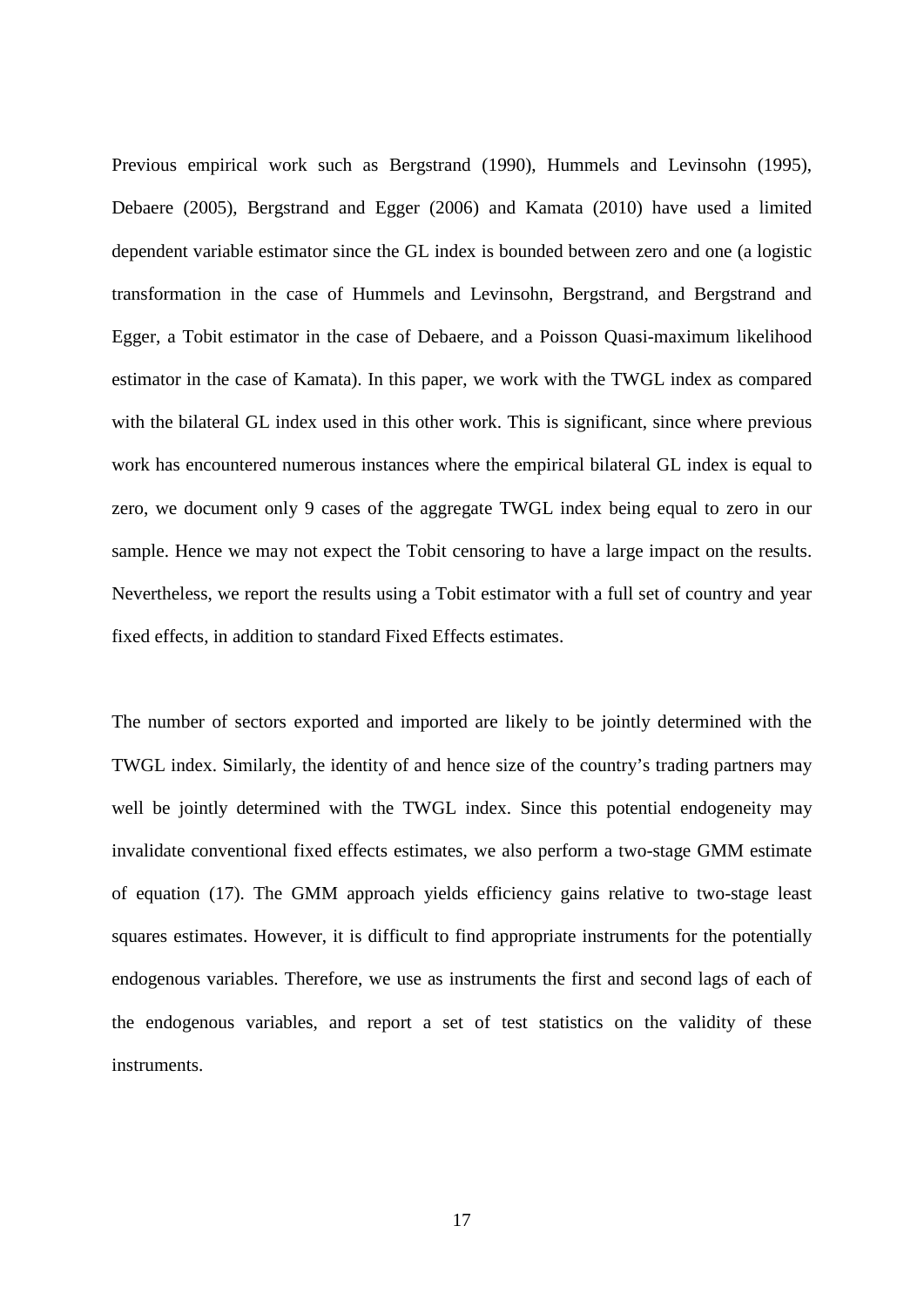Previous empirical work such as Bergstrand (1990), Hummels and Levinsohn (1995), Debaere (2005), Bergstrand and Egger (2006) and Kamata (2010) have used a limited dependent variable estimator since the GL index is bounded between zero and one (a logistic transformation in the case of Hummels and Levinsohn, Bergstrand, and Bergstrand and Egger, a Tobit estimator in the case of Debaere, and a Poisson Quasi-maximum likelihood estimator in the case of Kamata). In this paper, we work with the TWGL index as compared with the bilateral GL index used in this other work. This is significant, since where previous work has encountered numerous instances where the empirical bilateral GL index is equal to zero, we document only 9 cases of the aggregate TWGL index being equal to zero in our sample. Hence we may not expect the Tobit censoring to have a large impact on the results. Nevertheless, we report the results using a Tobit estimator with a full set of country and year fixed effects, in addition to standard Fixed Effects estimates.

The number of sectors exported and imported are likely to be jointly determined with the TWGL index. Similarly, the identity of and hence size of the country's trading partners may well be jointly determined with the TWGL index. Since this potential endogeneity may invalidate conventional fixed effects estimates, we also perform a two-stage GMM estimate of equation (17). The GMM approach yields efficiency gains relative to two-stage least squares estimates. However, it is difficult to find appropriate instruments for the potentially endogenous variables. Therefore, we use as instruments the first and second lags of each of the endogenous variables, and report a set of test statistics on the validity of these instruments.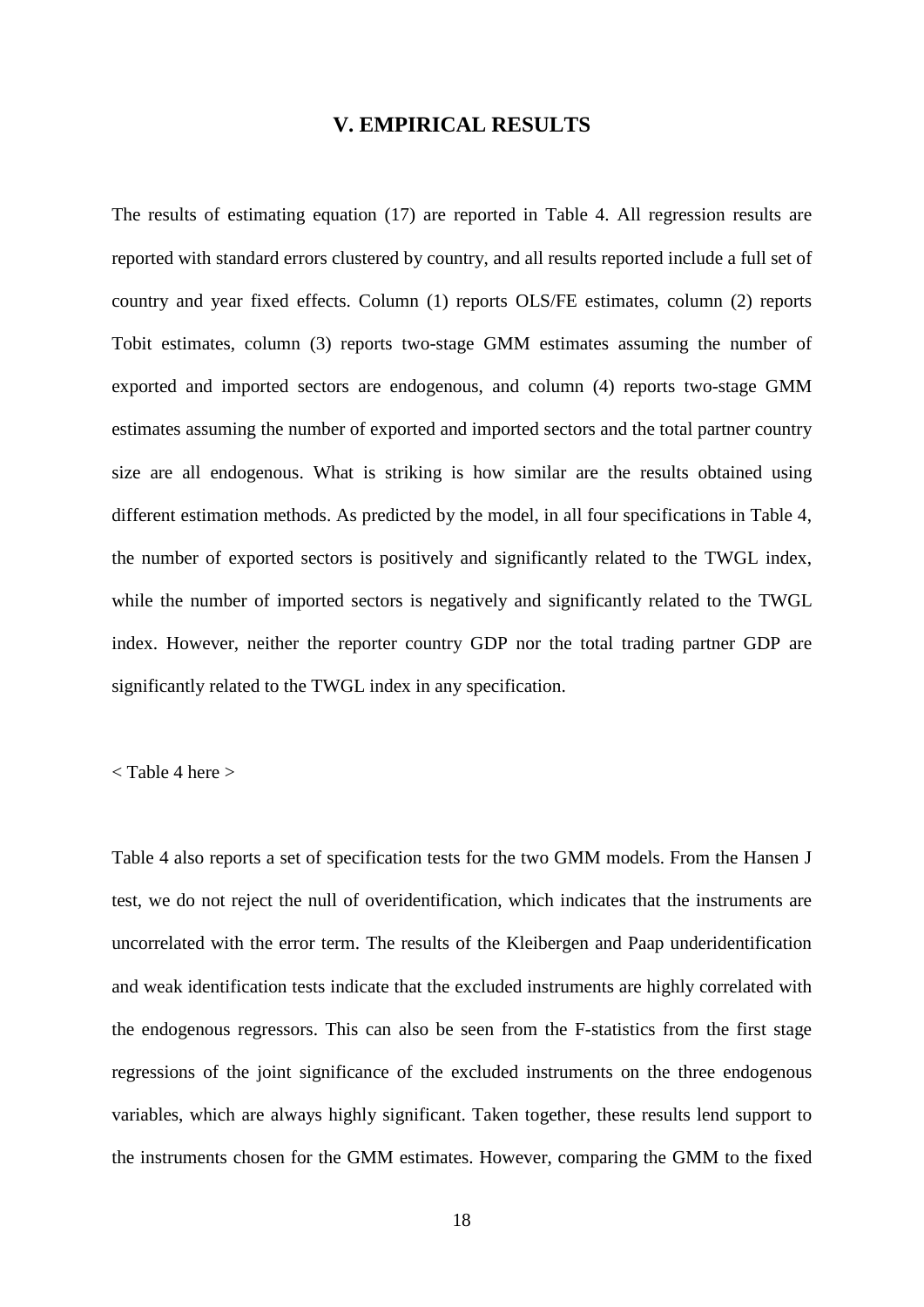#### **V. EMPIRICAL RESULTS**

The results of estimating equation (17) are reported in Table 4. All regression results are reported with standard errors clustered by country, and all results reported include a full set of country and year fixed effects. Column (1) reports OLS/FE estimates, column (2) reports Tobit estimates, column (3) reports two-stage GMM estimates assuming the number of exported and imported sectors are endogenous, and column (4) reports two-stage GMM estimates assuming the number of exported and imported sectors and the total partner country size are all endogenous. What is striking is how similar are the results obtained using different estimation methods. As predicted by the model, in all four specifications in Table 4, the number of exported sectors is positively and significantly related to the TWGL index, while the number of imported sectors is negatively and significantly related to the TWGL index. However, neither the reporter country GDP nor the total trading partner GDP are significantly related to the TWGL index in any specification.

< Table 4 here >

Table 4 also reports a set of specification tests for the two GMM models. From the Hansen J test, we do not reject the null of overidentification, which indicates that the instruments are uncorrelated with the error term. The results of the Kleibergen and Paap underidentification and weak identification tests indicate that the excluded instruments are highly correlated with the endogenous regressors. This can also be seen from the F-statistics from the first stage regressions of the joint significance of the excluded instruments on the three endogenous variables, which are always highly significant. Taken together, these results lend support to the instruments chosen for the GMM estimates. However, comparing the GMM to the fixed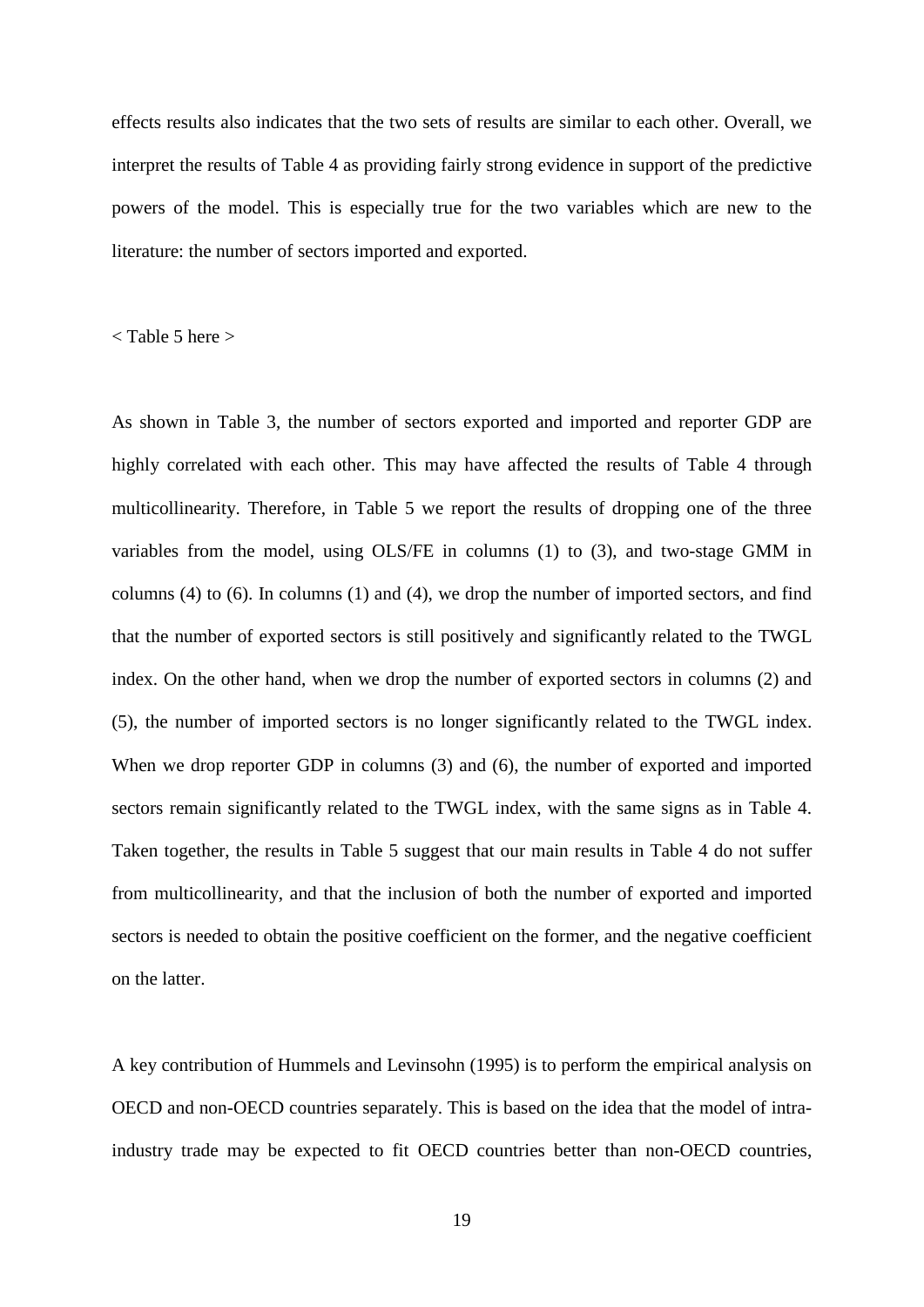effects results also indicates that the two sets of results are similar to each other. Overall, we interpret the results of Table 4 as providing fairly strong evidence in support of the predictive powers of the model. This is especially true for the two variables which are new to the literature: the number of sectors imported and exported.

< Table 5 here >

As shown in Table 3, the number of sectors exported and imported and reporter GDP are highly correlated with each other. This may have affected the results of Table 4 through multicollinearity. Therefore, in Table 5 we report the results of dropping one of the three variables from the model, using OLS/FE in columns (1) to (3), and two-stage GMM in columns (4) to (6). In columns (1) and (4), we drop the number of imported sectors, and find that the number of exported sectors is still positively and significantly related to the TWGL index. On the other hand, when we drop the number of exported sectors in columns (2) and (5), the number of imported sectors is no longer significantly related to the TWGL index. When we drop reporter GDP in columns (3) and (6), the number of exported and imported sectors remain significantly related to the TWGL index, with the same signs as in Table 4. Taken together, the results in Table 5 suggest that our main results in Table 4 do not suffer from multicollinearity, and that the inclusion of both the number of exported and imported sectors is needed to obtain the positive coefficient on the former, and the negative coefficient on the latter.

A key contribution of Hummels and Levinsohn (1995) is to perform the empirical analysis on OECD and non-OECD countries separately. This is based on the idea that the model of intraindustry trade may be expected to fit OECD countries better than non-OECD countries,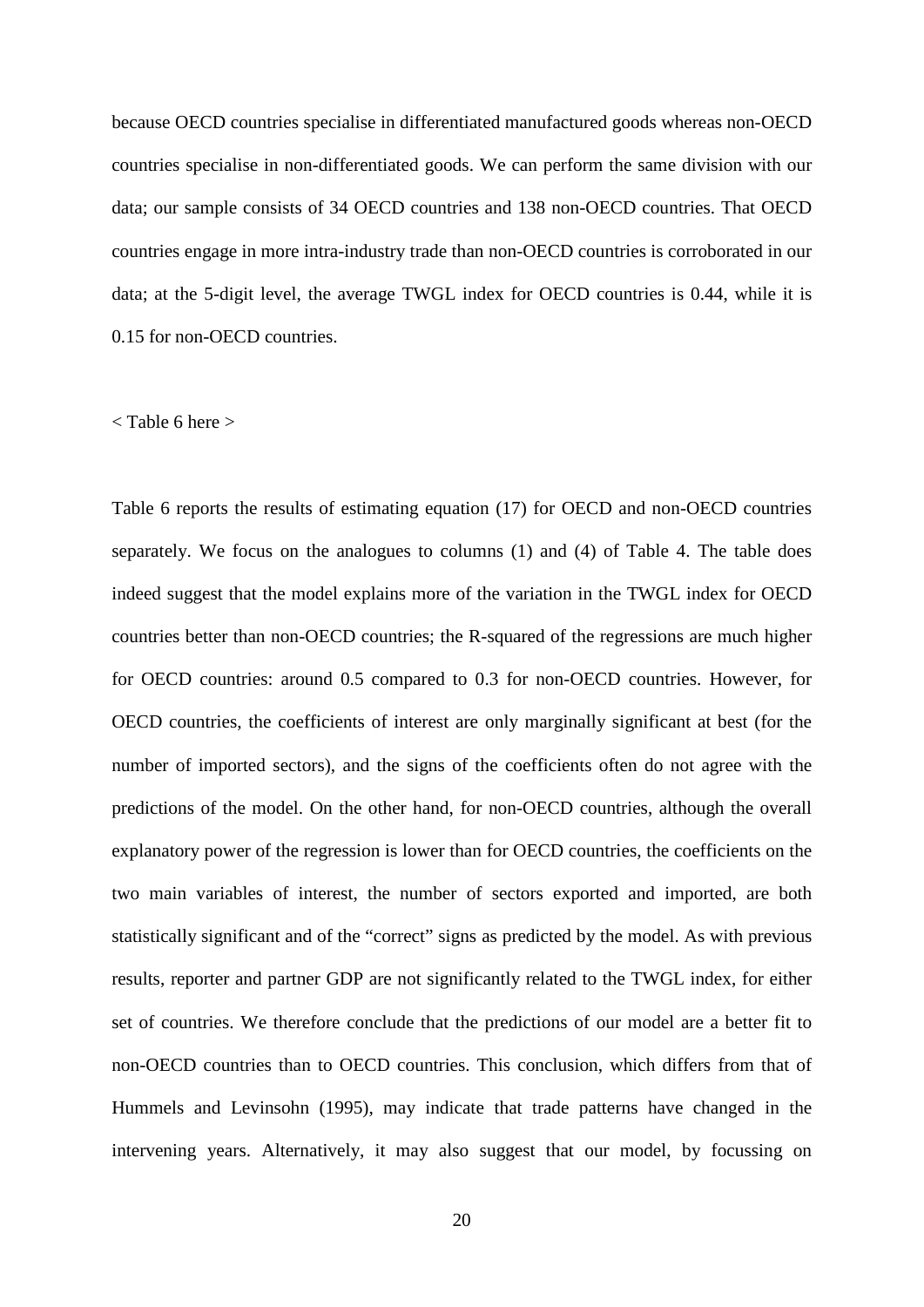because OECD countries specialise in differentiated manufactured goods whereas non-OECD countries specialise in non-differentiated goods. We can perform the same division with our data; our sample consists of 34 OECD countries and 138 non-OECD countries. That OECD countries engage in more intra-industry trade than non-OECD countries is corroborated in our data; at the 5-digit level, the average TWGL index for OECD countries is 0.44, while it is 0.15 for non-OECD countries.

#### < Table 6 here >

Table 6 reports the results of estimating equation (17) for OECD and non-OECD countries separately. We focus on the analogues to columns (1) and (4) of Table 4. The table does indeed suggest that the model explains more of the variation in the TWGL index for OECD countries better than non-OECD countries; the R-squared of the regressions are much higher for OECD countries: around 0.5 compared to 0.3 for non-OECD countries. However, for OECD countries, the coefficients of interest are only marginally significant at best (for the number of imported sectors), and the signs of the coefficients often do not agree with the predictions of the model. On the other hand, for non-OECD countries, although the overall explanatory power of the regression is lower than for OECD countries, the coefficients on the two main variables of interest, the number of sectors exported and imported, are both statistically significant and of the "correct" signs as predicted by the model. As with previous results, reporter and partner GDP are not significantly related to the TWGL index, for either set of countries. We therefore conclude that the predictions of our model are a better fit to non-OECD countries than to OECD countries. This conclusion, which differs from that of Hummels and Levinsohn (1995), may indicate that trade patterns have changed in the intervening years. Alternatively, it may also suggest that our model, by focussing on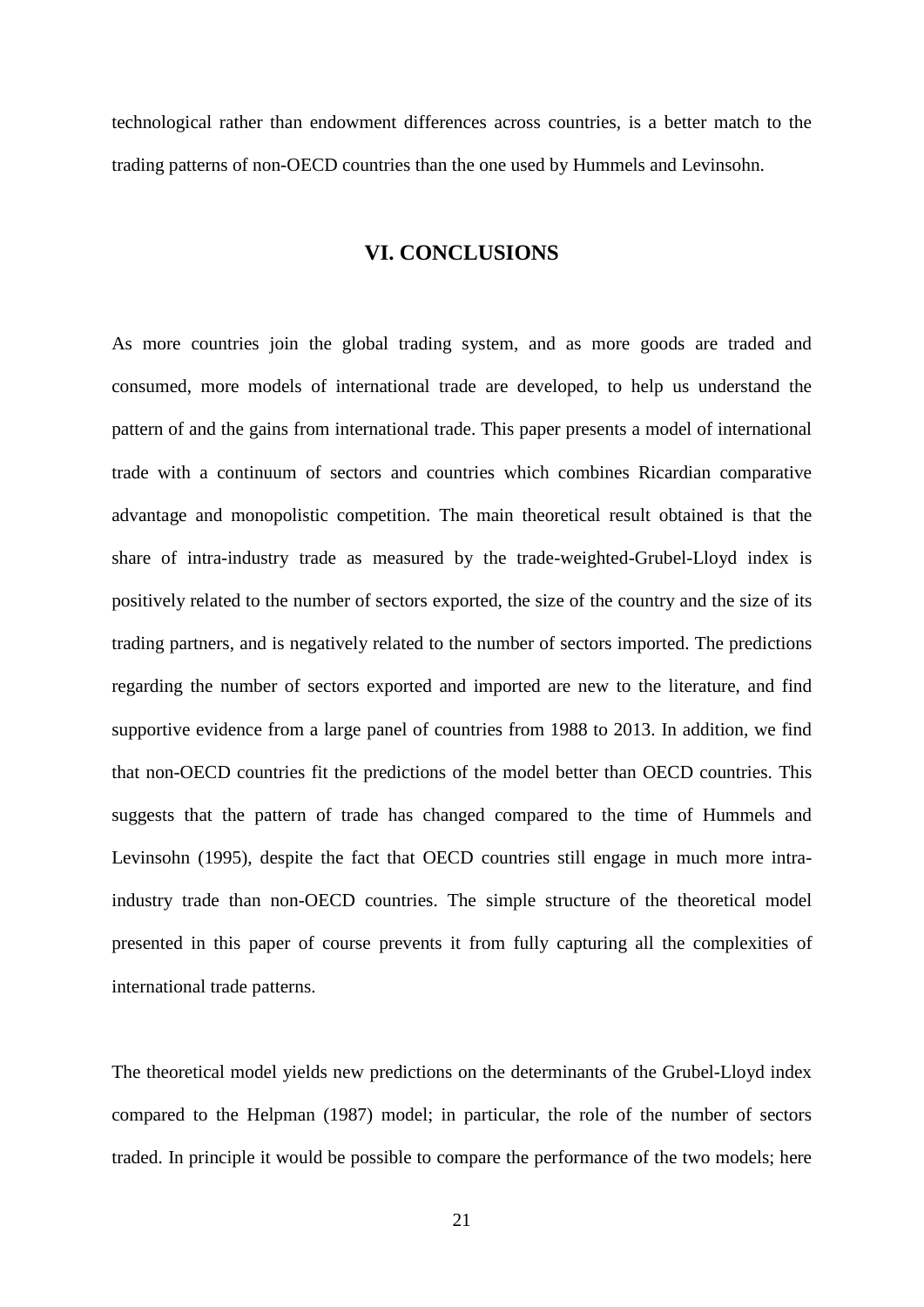technological rather than endowment differences across countries, is a better match to the trading patterns of non-OECD countries than the one used by Hummels and Levinsohn.

## **VI. CONCLUSIONS**

As more countries join the global trading system, and as more goods are traded and consumed, more models of international trade are developed, to help us understand the pattern of and the gains from international trade. This paper presents a model of international trade with a continuum of sectors and countries which combines Ricardian comparative advantage and monopolistic competition. The main theoretical result obtained is that the share of intra-industry trade as measured by the trade-weighted-Grubel-Lloyd index is positively related to the number of sectors exported, the size of the country and the size of its trading partners, and is negatively related to the number of sectors imported. The predictions regarding the number of sectors exported and imported are new to the literature, and find supportive evidence from a large panel of countries from 1988 to 2013. In addition, we find that non-OECD countries fit the predictions of the model better than OECD countries. This suggests that the pattern of trade has changed compared to the time of Hummels and Levinsohn (1995), despite the fact that OECD countries still engage in much more intraindustry trade than non-OECD countries. The simple structure of the theoretical model presented in this paper of course prevents it from fully capturing all the complexities of international trade patterns.

The theoretical model yields new predictions on the determinants of the Grubel-Lloyd index compared to the Helpman (1987) model; in particular, the role of the number of sectors traded. In principle it would be possible to compare the performance of the two models; here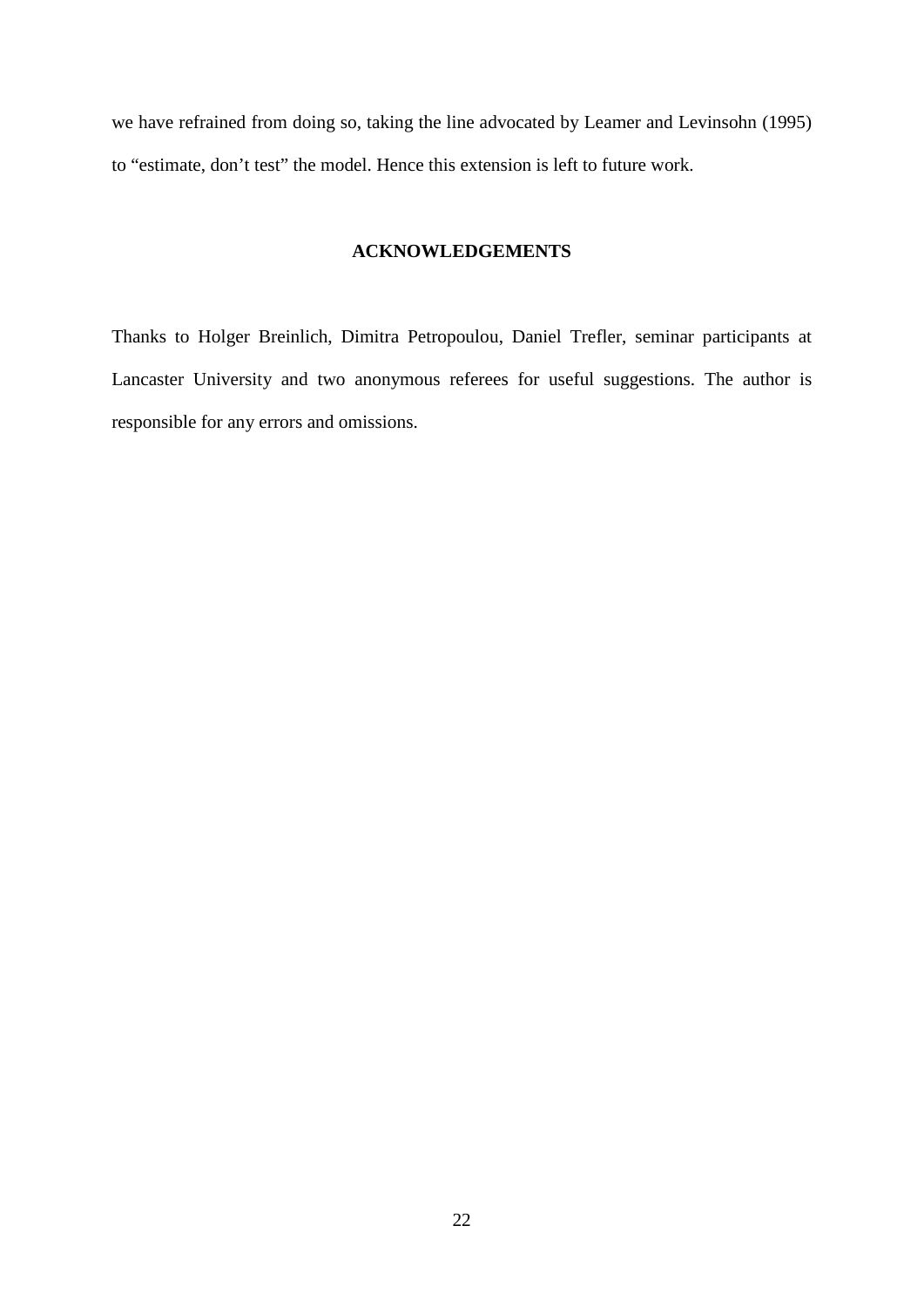we have refrained from doing so, taking the line advocated by Leamer and Levinsohn (1995) to "estimate, don't test" the model. Hence this extension is left to future work.

## **ACKNOWLEDGEMENTS**

Thanks to Holger Breinlich, Dimitra Petropoulou, Daniel Trefler, seminar participants at Lancaster University and two anonymous referees for useful suggestions. The author is responsible for any errors and omissions.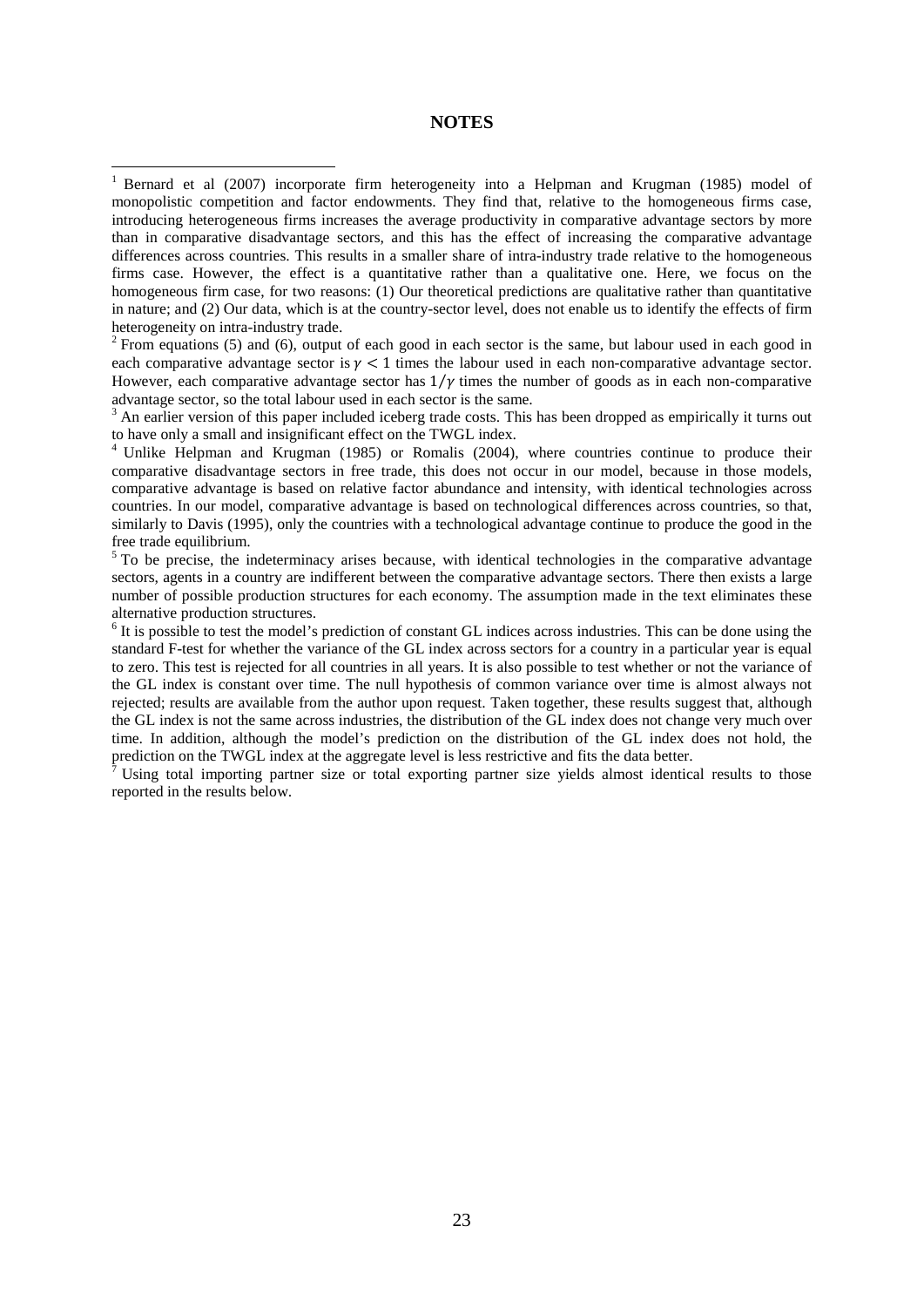#### **NOTES**

<span id="page-22-1"></span>each comparative advantage sector is  $\gamma$  < 1 times the labour used in each non-comparative advantage sector. However, each comparative advantage sector has  $1/\gamma$  times the number of goods as in each non-comparative advantage sector, so the total labour used in each sector is the same.

 $3$  An earlier version of this paper included iceberg trade costs. This has been dropped as empirically it turns out to have only a small and insignificant effect on the TWGL index.

<sup>4</sup> Unlike Helpman and Krugman (1985) or Romalis (2004), where countries continue to produce their comparative disadvantage sectors in free trade, this does not occur in our model, because in those models, comparative advantage is based on relative factor abundance and intensity, with identical technologies across countries. In our model, comparative advantage is based on technological differences across countries, so that, similarly to Davis (1995), only the countries with a technological advantage continue to produce the good in the free trade equilibrium.

<sup>5</sup> To be precise, the indeterminacy arises because, with identical technologies in the comparative advantage sectors, agents in a country are indifferent between the comparative advantage sectors. There then exists a large number of possible production structures for each economy. The assumption made in the text eliminates these alternative production structures.<br><sup>6</sup> It is possible to test the model's prediction of constant GL indices across industries. This can be done using the

standard F-test for whether the variance of the GL index across sectors for a country in a particular year is equal to zero. This test is rejected for all countries in all years. It is also possible to test whether or not the variance of the GL index is constant over time. The null hypothesis of common variance over time is almost always not rejected; results are available from the author upon request. Taken together, these results suggest that, although the GL index is not the same across industries, the distribution of the GL index does not change very much over time. In addition, although the model's prediction on the distribution of the GL index does not hold, the prediction on the TWGL index at the aggregate level is less restrictive and fits the data better.

<sup>7</sup> Using total importing partner size or total exporting partner size yields almost identical results to those reported in the results below.

<span id="page-22-0"></span><sup>&</sup>lt;sup>1</sup> Bernard et al (2007) incorporate firm heterogeneity into a Helpman and Krugman (1985) model of monopolistic competition and factor endowments. They find that, relative to the homogeneous firms case, introducing heterogeneous firms increases the average productivity in comparative advantage sectors by more than in comparative disadvantage sectors, and this has the effect of increasing the comparative advantage differences across countries. This results in a smaller share of intra-industry trade relative to the homogeneous firms case. However, the effect is a quantitative rather than a qualitative one. Here, we focus on the homogeneous firm case, for two reasons: (1) Our theoretical predictions are qualitative rather than quantitative in nature; and (2) Our data, which is at the country-sector level, does not enable us to identify the effects of firm heterogeneity on intra-industry trade.<br><sup>2</sup> From equations (5) and (6), output of each good in each sector is the same, but labour used in each good in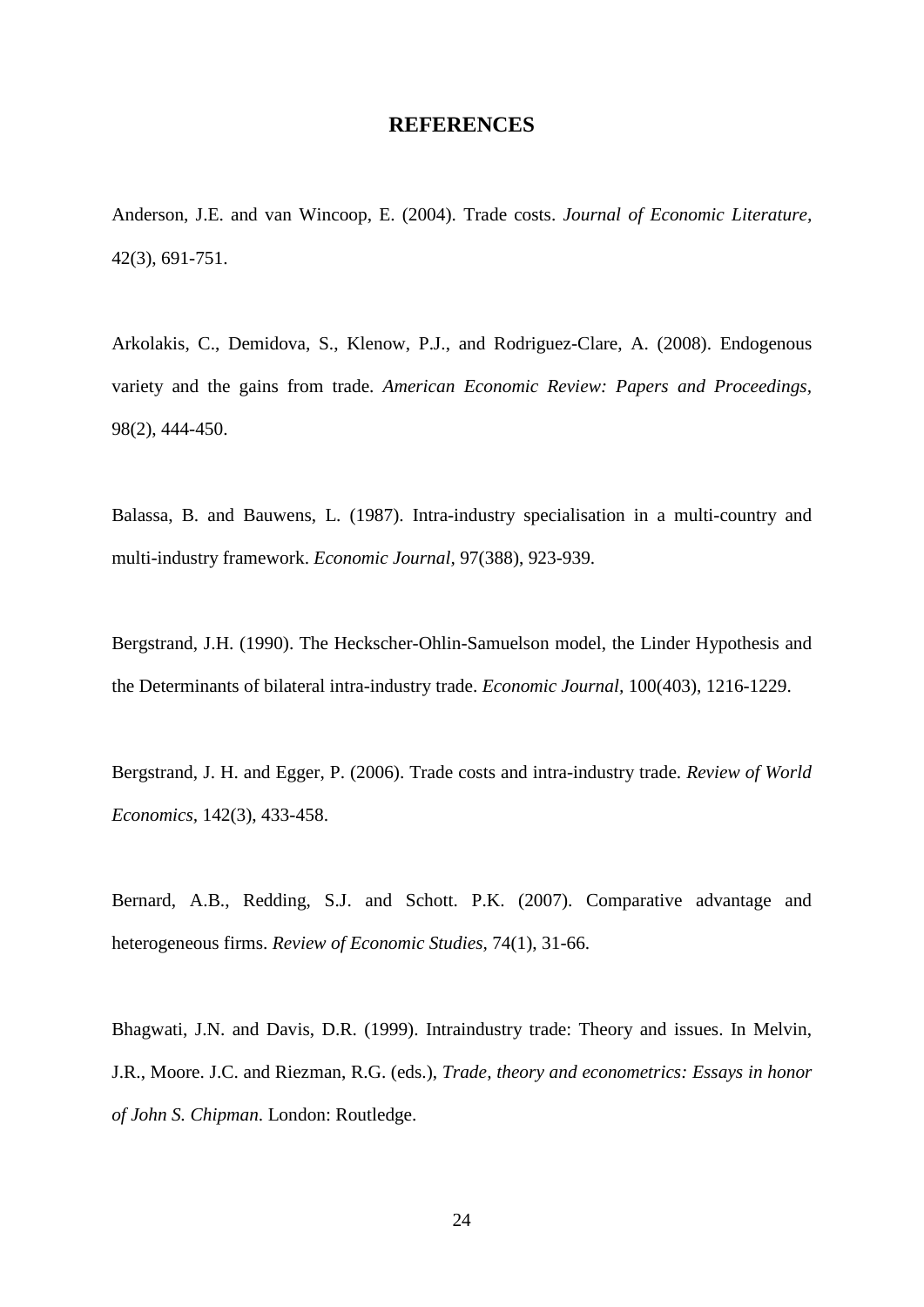#### **REFERENCES**

Anderson, J.E. and van Wincoop, E. (2004). Trade costs. *Journal of Economic Literature,* 42(3), 691-751.

<span id="page-23-0"></span>Arkolakis, C., Demidova, S., Klenow, P.J., and Rodriguez-Clare, A. (2008). Endogenous variety and the gains from trade. *American Economic Review: Papers and Proceedings,* 98(2), 444-450.

Balassa, B. and Bauwens, L. (1987). Intra-industry specialisation in a multi-country and multi-industry framework. *Economic Journal,* 97(388), 923-939.

Bergstrand, J.H. (1990). The Heckscher-Ohlin-Samuelson model, the Linder Hypothesis and the Determinants of bilateral intra-industry trade. *Economic Journal,* 100(403), 1216-1229.

Bergstrand, J. H. and Egger, P. (2006). Trade costs and intra-industry trade. *Review of World Economics,* 142(3), 433-458.

Bernard, A.B., Redding, S.J. and Schott. P.K. (2007). Comparative advantage and heterogeneous firms. *Review of Economic Studies,* 74(1), 31-66.

Bhagwati, J.N. and Davis, D.R. (1999). Intraindustry trade: Theory and issues. In Melvin, J.R., Moore. J.C. and Riezman, R.G. (eds.), *Trade, theory and econometrics: Essays in honor of John S. Chipman*. London: Routledge.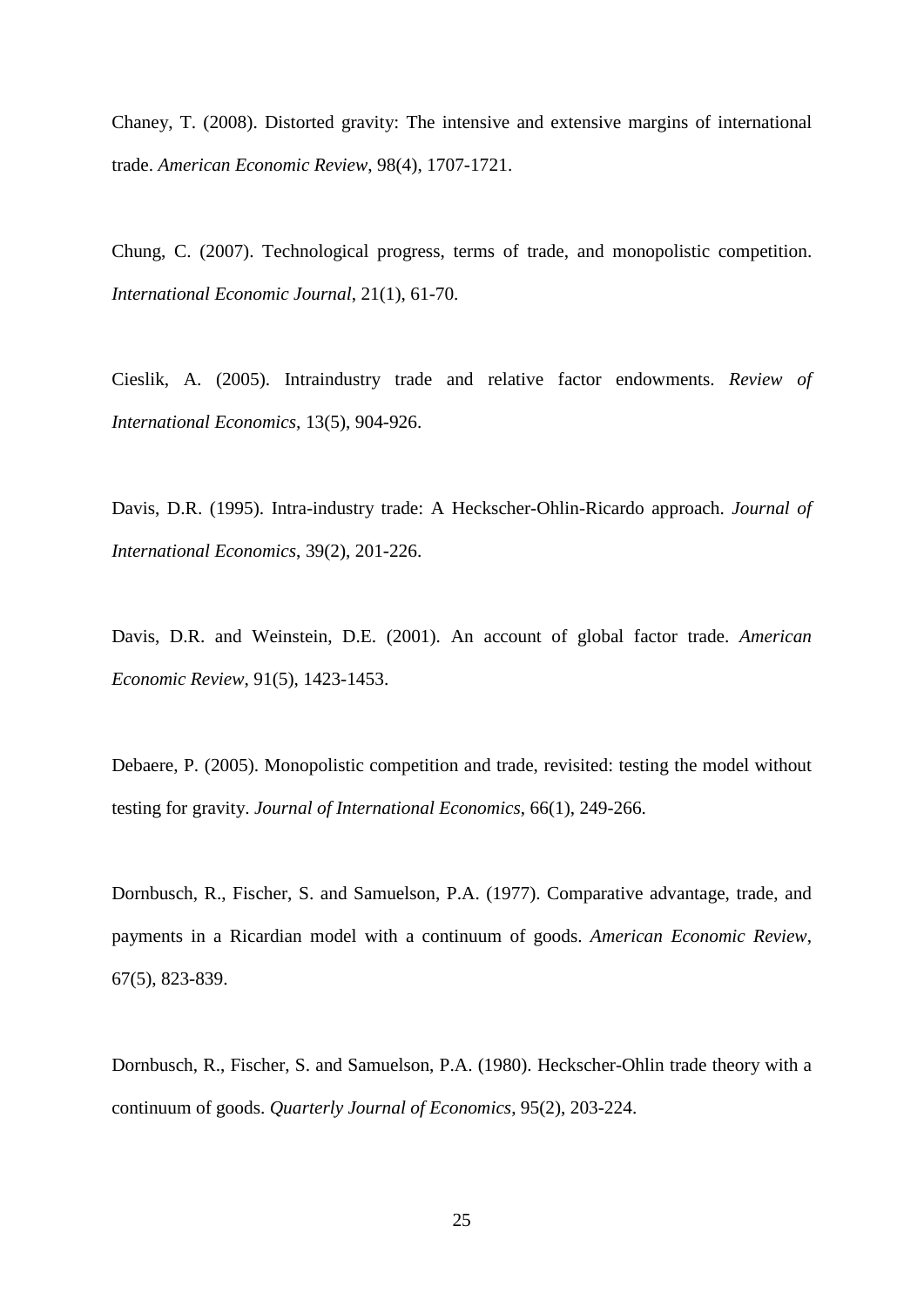Chaney, T. (2008). Distorted gravity: The intensive and extensive margins of international trade. *American Economic Review*, 98(4), 1707-1721.

Chung, C. (2007). Technological progress, terms of trade, and monopolistic competition. *International Economic Journal*, 21(1), 61-70.

Cieslik, A. (2005). Intraindustry trade and relative factor endowments. *Review of International Economics,* 13(5), 904-926.

<span id="page-24-1"></span><span id="page-24-0"></span>Davis, D.R. (1995). Intra-industry trade: A Heckscher-Ohlin-Ricardo approach. *Journal of International Economics*, 39(2), 201-226.

Davis, D.R. and Weinstein, D.E. (2001). An account of global factor trade. *American Economic Review*, 91(5), 1423-1453.

Debaere, P. (2005). Monopolistic competition and trade, revisited: testing the model without testing for gravity. *Journal of International Economics*, 66(1), 249-266.

Dornbusch, R., Fischer, S. and Samuelson, P.A. (1977). Comparative advantage, trade, and payments in a Ricardian model with a continuum of goods. *American Economic Review*, 67(5), 823-839.

Dornbusch, R., Fischer, S. and Samuelson, P.A. (1980). Heckscher-Ohlin trade theory with a continuum of goods. *Quarterly Journal of Economics*, 95(2), 203-224.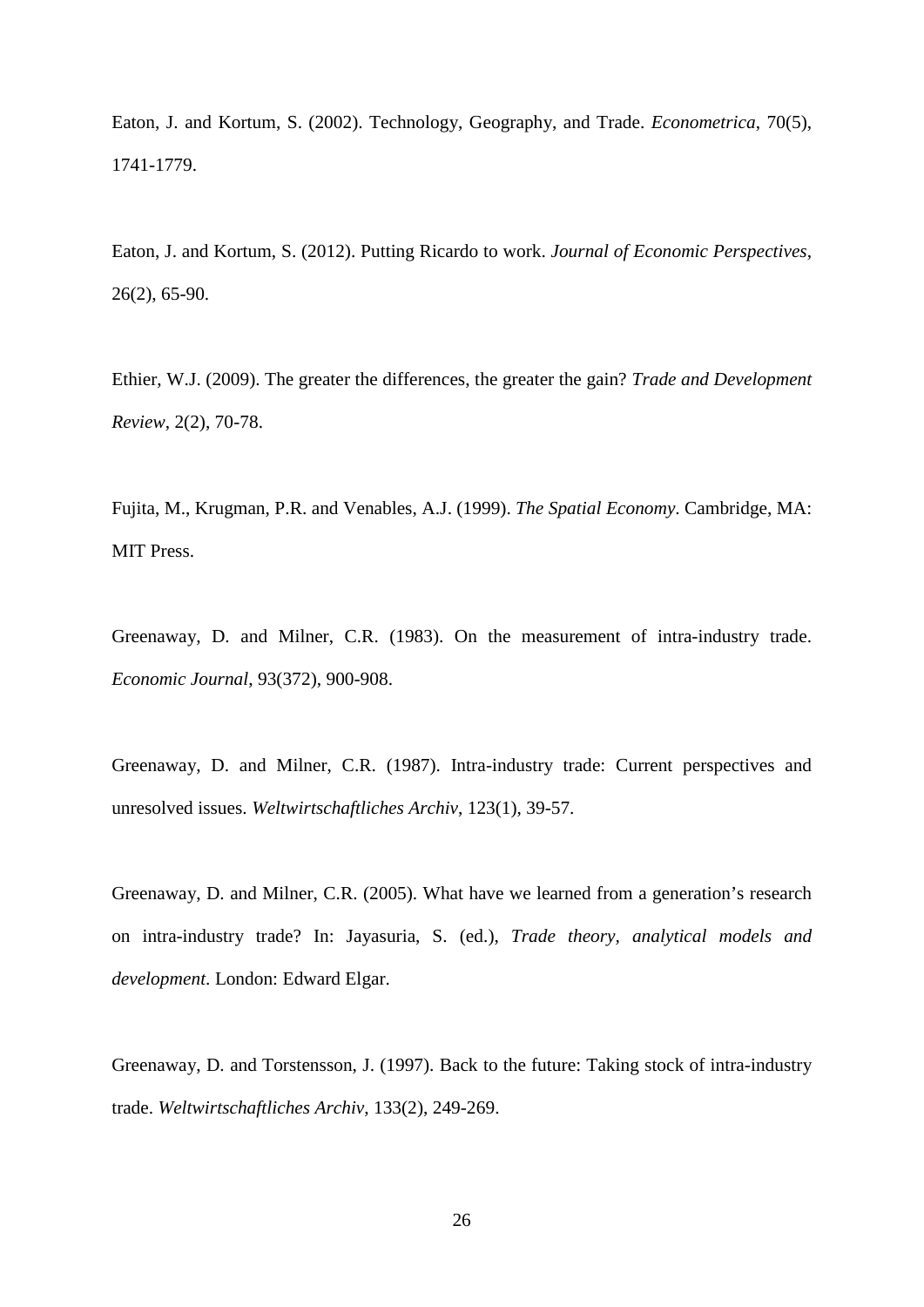Eaton, J. and Kortum, S. (2002). Technology, Geography, and Trade. *Econometrica*, 70(5), 1741-1779.

Eaton, J. and Kortum, S. (2012). Putting Ricardo to work. *Journal of Economic Perspectives*, 26(2), 65-90.

Ethier, W.J. (2009). The greater the differences, the greater the gain? *Trade and Development Review*, 2(2), 70-78.

Fujita, M., Krugman, P.R. and Venables, A.J. (1999). *The Spatial Economy*. Cambridge, MA: MIT Press.

<span id="page-25-0"></span>Greenaway, D. and Milner, C.R. (1983). On the measurement of intra-industry trade. *Economic Journal*, 93(372), 900-908.

<span id="page-25-1"></span>Greenaway, D. and Milner, C.R. (1987). Intra-industry trade: Current perspectives and unresolved issues. *Weltwirtschaftliches Archiv*, 123(1), 39-57.

Greenaway, D. and Milner, C.R. (2005). What have we learned from a generation's research on intra-industry trade? In: Jayasuria, S. (ed.), *Trade theory, analytical models and development*. London: Edward Elgar.

Greenaway, D. and Torstensson, J. (1997). Back to the future: Taking stock of intra-industry trade. *Weltwirtschaftliches Archiv*, 133(2), 249-269.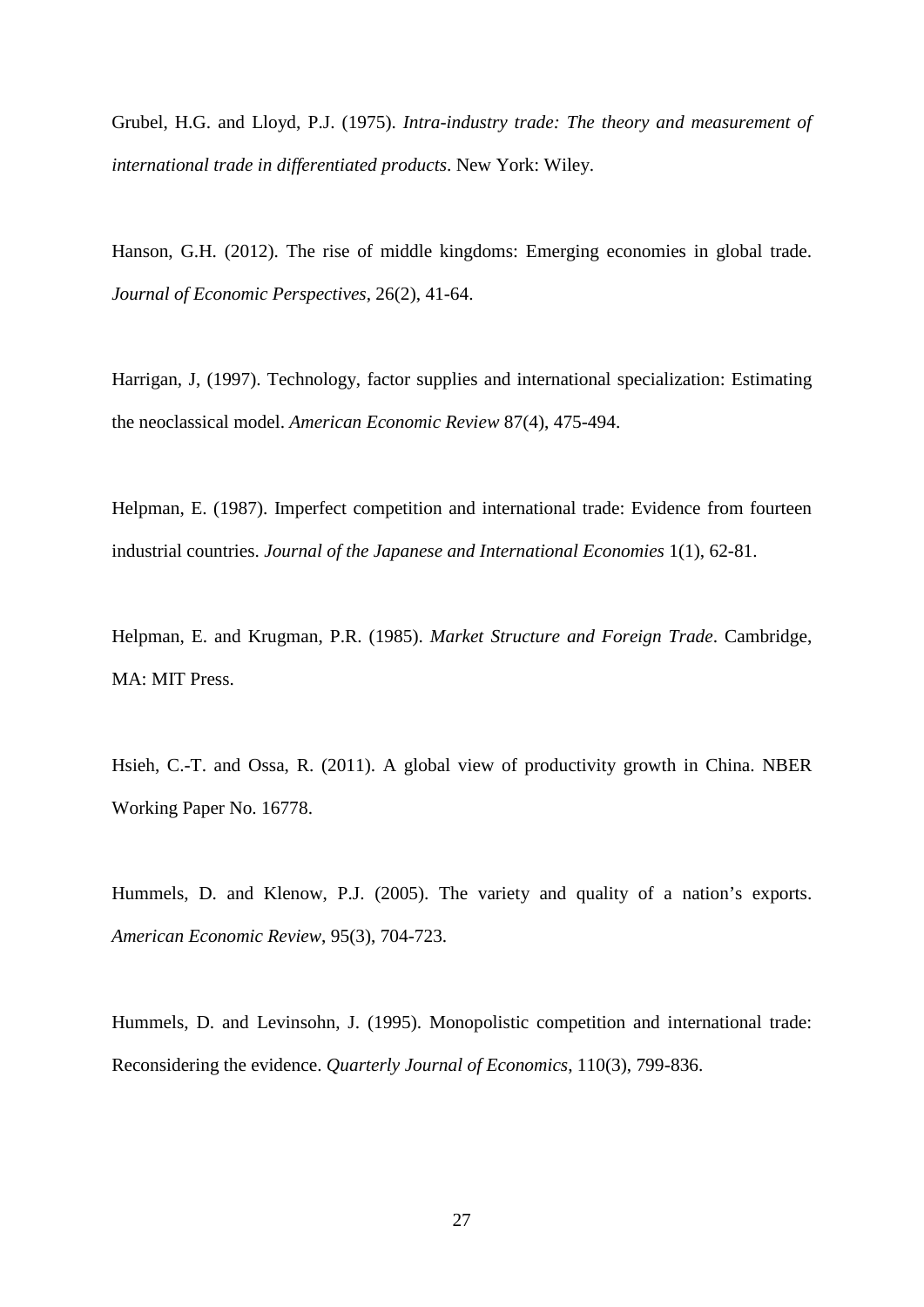Grubel, H.G. and Lloyd, P.J. (1975). *Intra-industry trade: The theory and measurement of international trade in differentiated products*. New York: Wiley.

Hanson, G.H. (2012). The rise of middle kingdoms: Emerging economies in global trade. *Journal of Economic Perspectives*, 26(2), 41-64.

Harrigan, J, (1997). Technology, factor supplies and international specialization: Estimating the neoclassical model. *American Economic Review* 87(4), 475-494.

Helpman, E. (1987). Imperfect competition and international trade: Evidence from fourteen industrial countries. *Journal of the Japanese and International Economies* 1(1), 62-81.

Helpman, E. and Krugman, P.R. (1985). *Market Structure and Foreign Trade*. Cambridge, MA: MIT Press.

Hsieh, C.-T. and Ossa, R. (2011). A global view of productivity growth in China. NBER Working Paper No. 16778.

Hummels, D. and Klenow, P.J. (2005). The variety and quality of a nation's exports. *American Economic Review*, 95(3), 704-723.

Hummels, D. and Levinsohn, J. (1995). Monopolistic competition and international trade: Reconsidering the evidence. *Quarterly Journal of Economics*, 110(3), 799-836.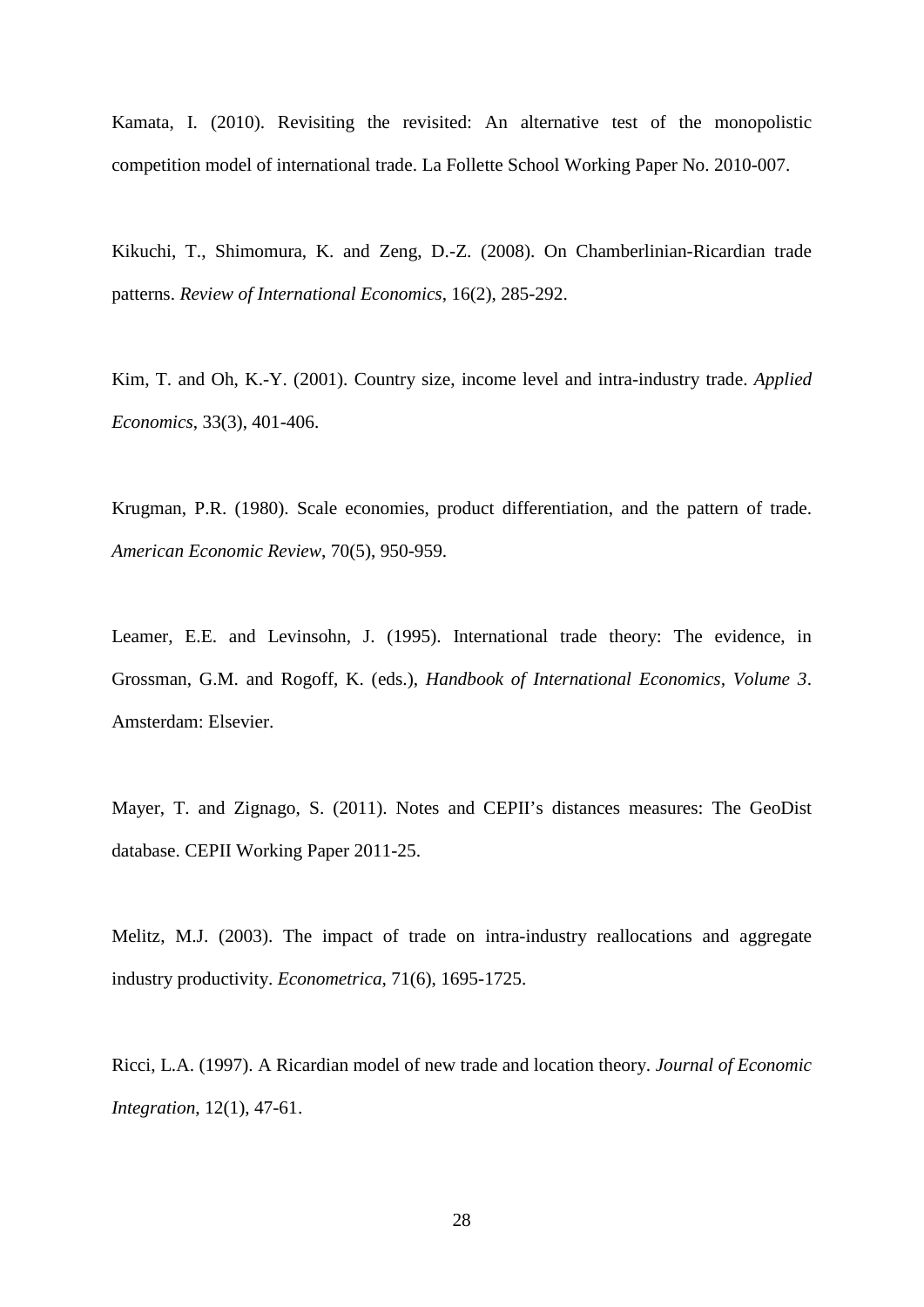Kamata, I. (2010). Revisiting the revisited: An alternative test of the monopolistic competition model of international trade. La Follette School Working Paper No. 2010-007.

Kikuchi, T., Shimomura, K. and Zeng, D.-Z. (2008). On Chamberlinian-Ricardian trade patterns. *Review of International Economics*, 16(2), 285-292.

Kim, T. and Oh, K.-Y. (2001). Country size, income level and intra-industry trade. *Applied Economics*, 33(3), 401-406.

Krugman, P.R. (1980). Scale economies, product differentiation, and the pattern of trade. *American Economic Review*, 70(5), 950-959.

Leamer, E.E. and Levinsohn, J. (1995). International trade theory: The evidence, in Grossman, G.M. and Rogoff, K. (eds.), *Handbook of International Economics, Volume 3*. Amsterdam: Elsevier.

Mayer, T. and Zignago, S. (2011). Notes and CEPII's distances measures: The GeoDist database. CEPII Working Paper 2011-25.

Melitz, M.J. (2003). The impact of trade on intra-industry reallocations and aggregate industry productivity. *Econometrica*, 71(6), 1695-1725.

Ricci, L.A. (1997). A Ricardian model of new trade and location theory. *Journal of Economic Integration*, 12(1), 47-61.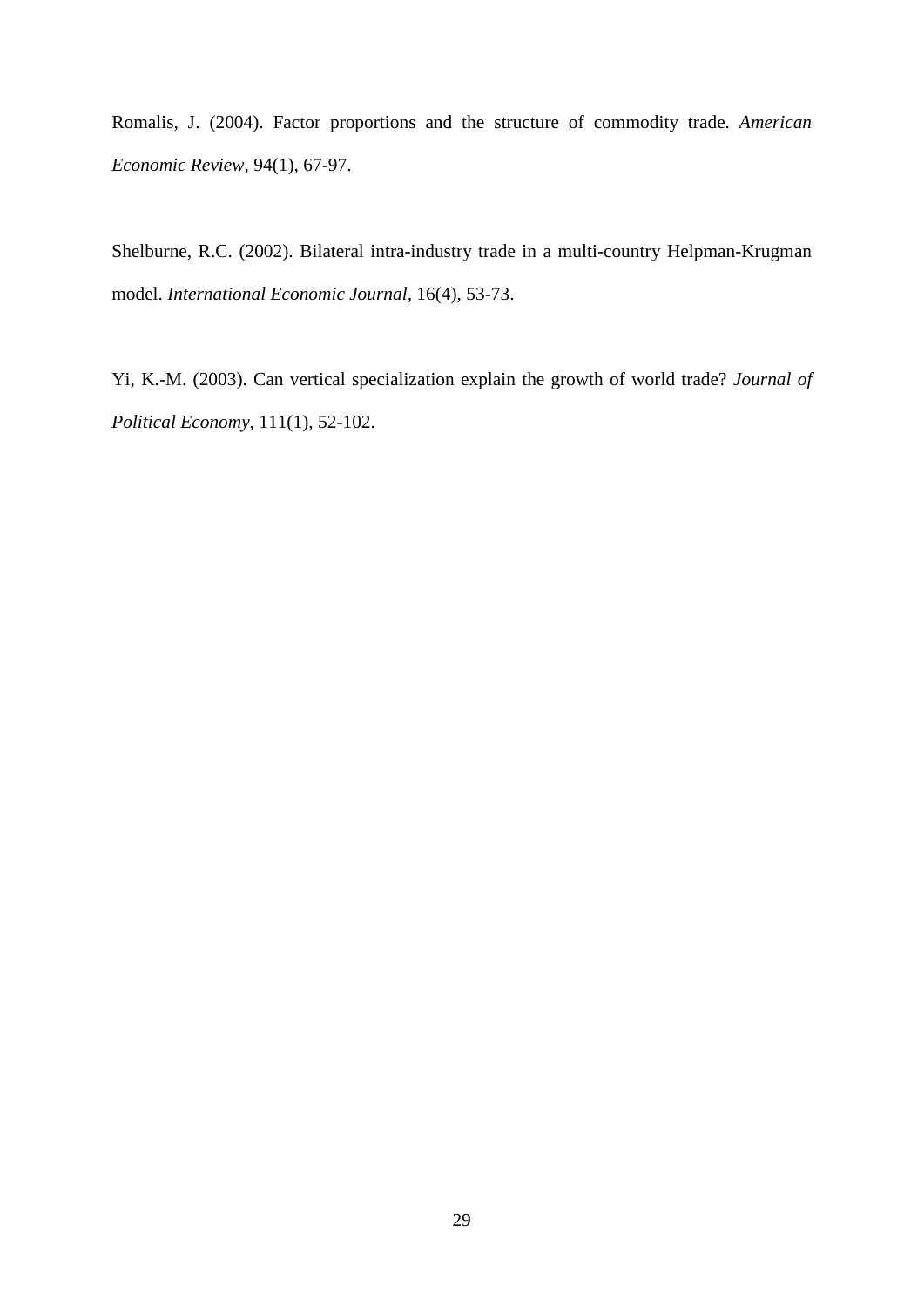Romalis, J. (2004). Factor proportions and the structure of commodity trade. *American Economic Review*, 94(1), 67-97.

Shelburne, R.C. (2002). Bilateral intra-industry trade in a multi-country Helpman-Krugman model. *International Economic Journal,* 16(4), 53-73.

Yi, K.-M. (2003). Can vertical specialization explain the growth of world trade? *Journal of Political Economy*, 111(1), 52-102.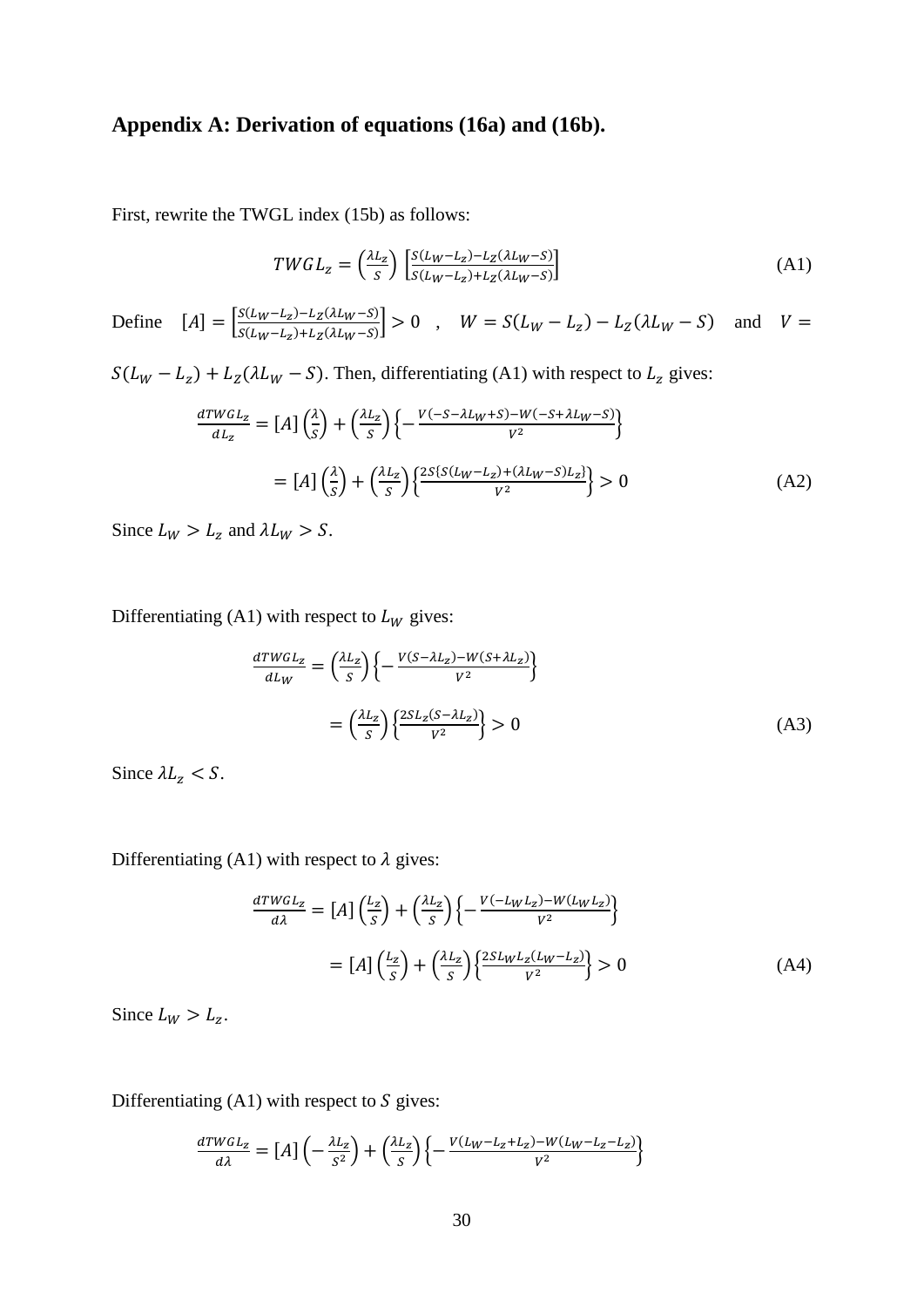# Appendix A: Derivation of equations (16a) and (16b).

First, rewrite the TWGL index (15b) as follows:

$$
T WGL_z = \left(\frac{\lambda L_z}{S}\right) \left[\frac{S(L_W - L_z) - L_Z(\lambda L_W - S)}{S(L_W - L_z) + L_Z(\lambda L_W - S)}\right]
$$
\n(A1)

Define  $[A] = \left[ \frac{S(L_W - L_z) - L_Z(\lambda L_W - S)}{S(L_W - L_z) + L_Z(\lambda L_W - S)} \right] > 0$ ,  $W = S(L_W - L_z) - L_Z(\lambda L_W - S)$  and  $V =$ 

 $S(L_W - L_z) + L_Z(\lambda L_W - S)$ . Then, differentiating (A1) with respect to  $L_z$  gives:

$$
\frac{dTWGL_z}{dL_z} = [A] \left(\frac{\lambda}{S}\right) + \left(\frac{\lambda L_z}{S}\right) \left\{-\frac{V(-S - \lambda L_W + S) - W(-S + \lambda L_W - S)}{V^2}\right\}
$$

$$
= [A] \left(\frac{\lambda}{S}\right) + \left(\frac{\lambda L_z}{S}\right) \left\{\frac{2S\{S(L_W - L_z) + (\lambda L_W - S)L_z\}}{V^2}\right\} > 0
$$
(A2)

Since  $L_W > L_z$  and  $\lambda L_W > S$ .

Differentiating (A1) with respect to  $L_W$  gives:

$$
\frac{d T WGL_Z}{dL_W} = \left(\frac{\lambda L_Z}{S}\right) \left\{-\frac{V(S - \lambda L_Z) - W(S + \lambda L_Z)}{V^2}\right\}
$$

$$
= \left(\frac{\lambda L_Z}{S}\right) \left\{\frac{2SL_Z(S - \lambda L_Z)}{V^2}\right\} > 0
$$
(A3)

Since  $\lambda L_z < S$ .

Differentiating (A1) with respect to  $\lambda$  gives:

$$
\frac{d \text{TWGL}_z}{d\lambda} = [A] \left(\frac{L_z}{S}\right) + \left(\frac{\lambda L_z}{S}\right) \left\{-\frac{V(-L_W L_z) - W(L_W L_z)}{V^2}\right\}
$$

$$
= [A] \left(\frac{L_z}{S}\right) + \left(\frac{\lambda L_z}{S}\right) \left\{\frac{2SL_W L_z(L_W - L_z)}{V^2}\right\} > 0 \tag{A4}
$$

Since  $L_W > L_z$ .

Differentiating  $(A1)$  with respect to S gives:

$$
\frac{d T W GL_z}{d \lambda} = [A] \left( -\frac{\lambda L_z}{S^2} \right) + \left( \frac{\lambda L_z}{S} \right) \left\{ -\frac{V (L_W - L_z + L_z) - W (L_W - L_z - L_z)}{V^2} \right\}
$$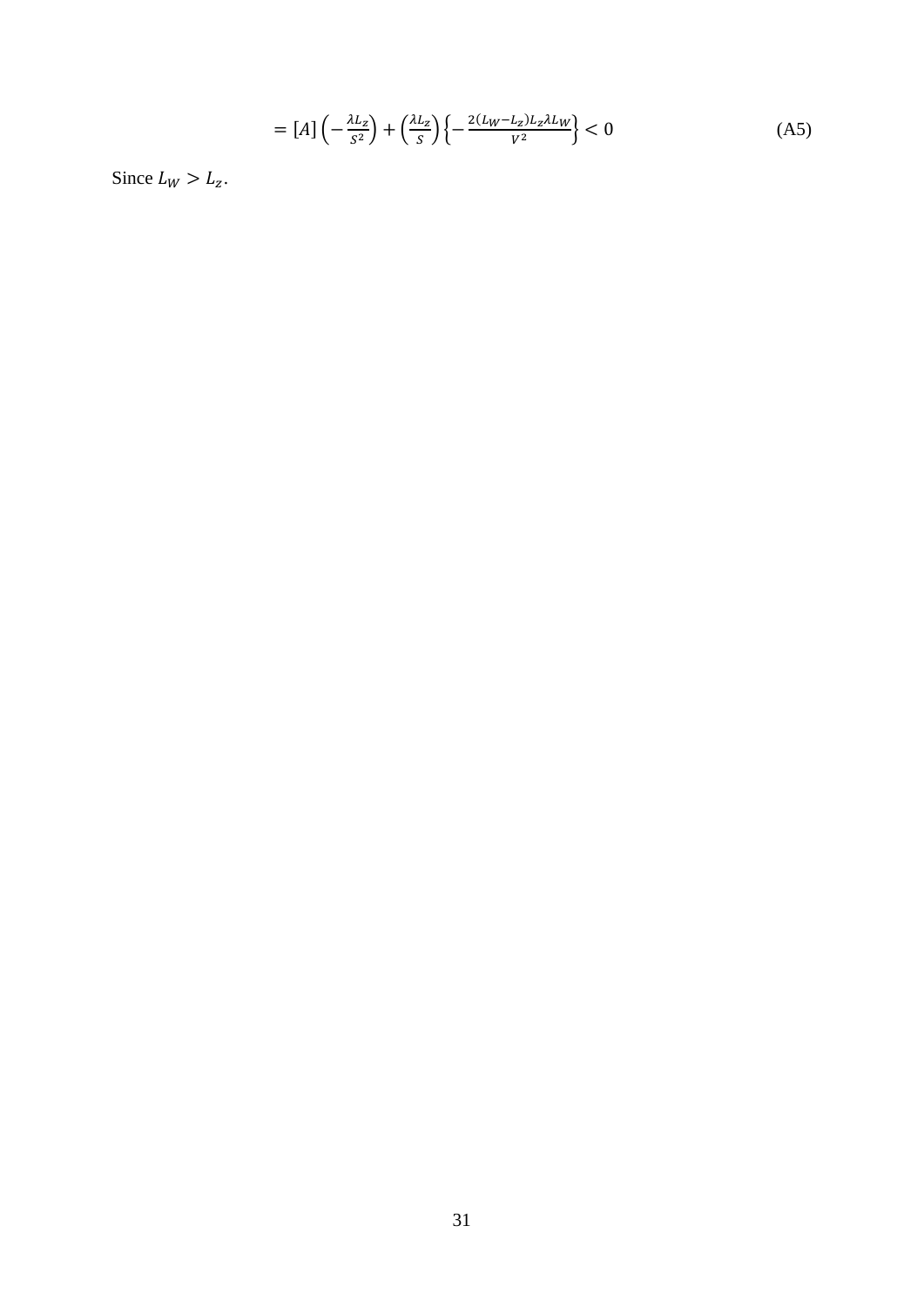$$
= [A] \left( -\frac{\lambda L_z}{S^2} \right) + \left( \frac{\lambda L_z}{S} \right) \left\{ -\frac{2(L_W - L_z)L_z \lambda L_W}{V^2} \right\} < 0 \tag{A5}
$$

Since  $L_W > L_z$ .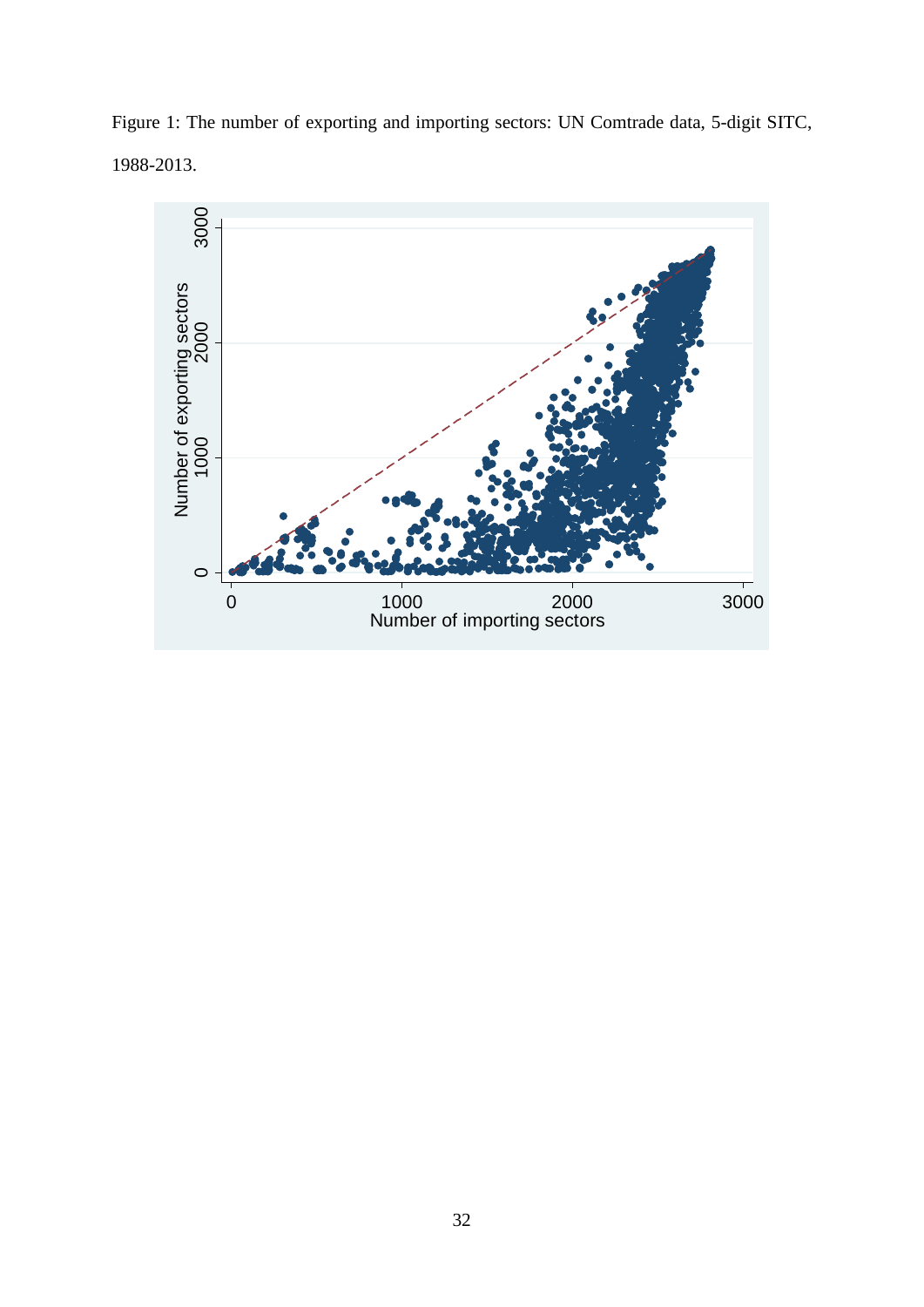Figure 1: The number of exporting and importing sectors: UN Comtrade data, 5-digit SITC, 1988-2013.

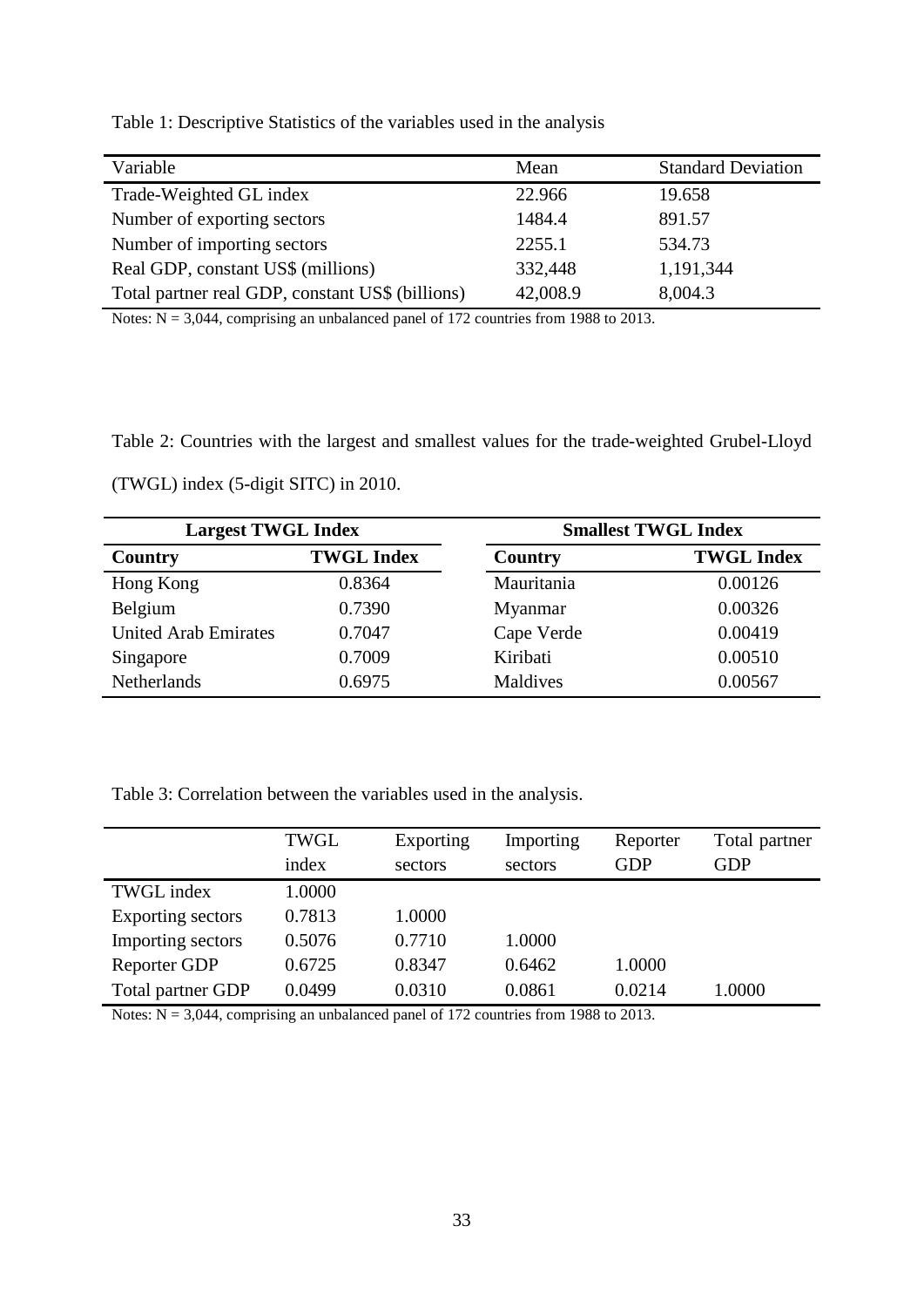Table 1: Descriptive Statistics of the variables used in the analysis

| Variable                                         | Mean     | <b>Standard Deviation</b> |
|--------------------------------------------------|----------|---------------------------|
| Trade-Weighted GL index                          | 22.966   | 19.658                    |
| Number of exporting sectors                      | 1484.4   | 891.57                    |
| Number of importing sectors                      | 2255.1   | 534.73                    |
| Real GDP, constant US\$ (millions)               | 332,448  | 1,191,344                 |
| Total partner real GDP, constant US\$ (billions) | 42,008.9 | 8,004.3                   |

Notes:  $N = 3,044$ , comprising an unbalanced panel of 172 countries from 1988 to 2013.

Table 2: Countries with the largest and smallest values for the trade-weighted Grubel-Lloyd

(TWGL) index (5-digit SITC) in 2010.

| <b>Largest TWGL Index</b>   |                   |            | <b>Smallest TWGL Index</b> |  |  |
|-----------------------------|-------------------|------------|----------------------------|--|--|
| Country                     | <b>TWGL Index</b> | Country    | <b>TWGL Index</b>          |  |  |
| Hong Kong                   | 0.8364            | Mauritania | 0.00126                    |  |  |
| Belgium                     | 0.7390            | Myanmar    | 0.00326                    |  |  |
| <b>United Arab Emirates</b> | 0.7047            | Cape Verde | 0.00419                    |  |  |
| Singapore                   | 0.7009            | Kiribati   | 0.00510                    |  |  |
| Netherlands                 | 0.6975            | Maldives   | 0.00567                    |  |  |

Table 3: Correlation between the variables used in the analysis.

|                     | <b>TWGL</b> | Exporting | Importing | Reporter | Total partner |
|---------------------|-------------|-----------|-----------|----------|---------------|
|                     | index       | sectors   | sectors   | GDP      | GDP           |
| <b>TWGL</b> index   | 1.0000      |           |           |          |               |
| Exporting sectors   | 0.7813      | 1.0000    |           |          |               |
| Importing sectors   | 0.5076      | 0.7710    | 1.0000    |          |               |
| <b>Reporter GDP</b> | 0.6725      | 0.8347    | 0.6462    | 1.0000   |               |
| Total partner GDP   | 0.0499      | 0.0310    | 0.0861    | 0.0214   | 1.0000        |

Notes: N = 3,044, comprising an unbalanced panel of 172 countries from 1988 to 2013.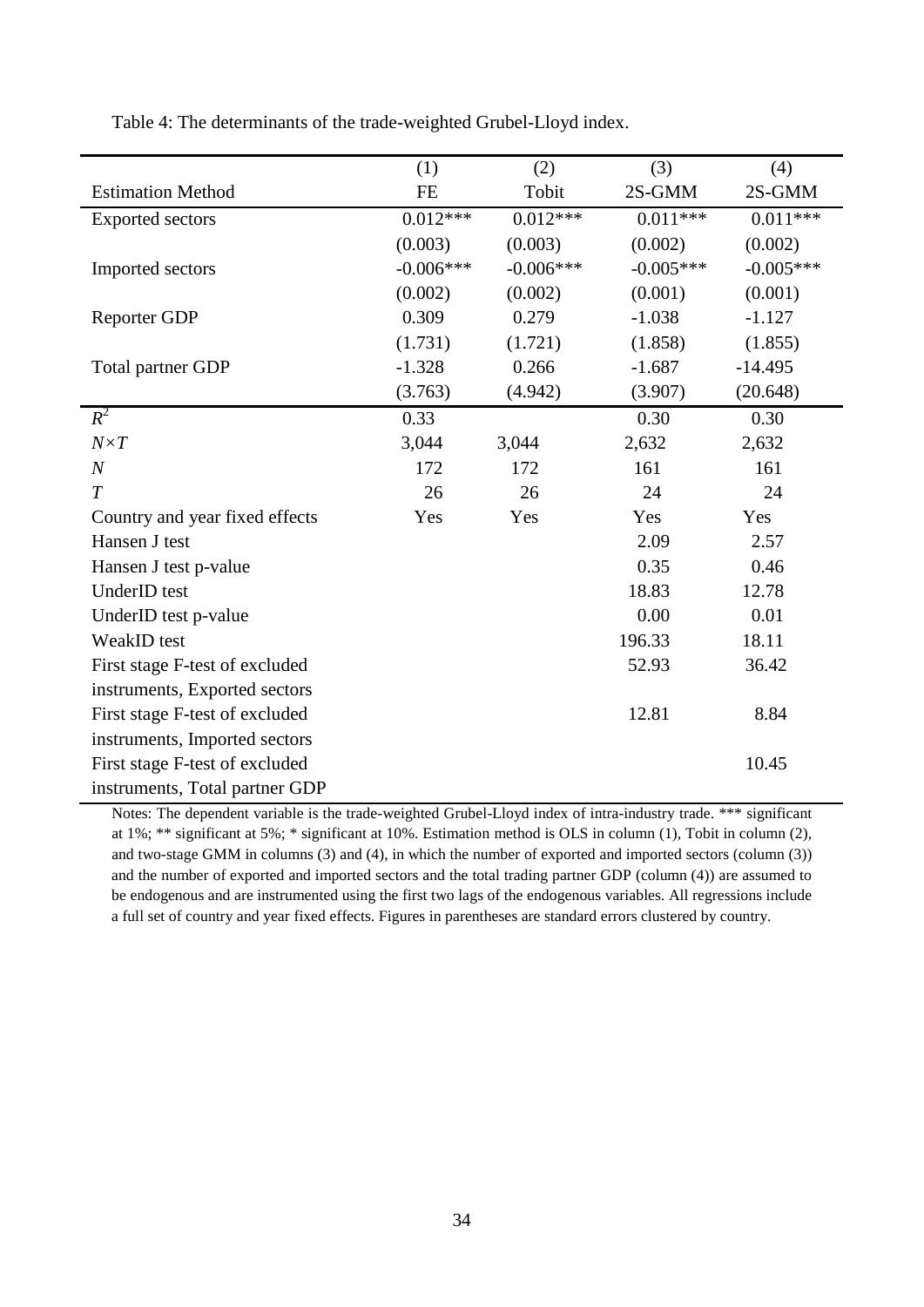Table 4: The determinants of the trade-weighted Grubel-Lloyd index.

|                                | (1)         | (2)         | (3)         | (4)         |
|--------------------------------|-------------|-------------|-------------|-------------|
| <b>Estimation Method</b>       | <b>FE</b>   | Tobit       | 2S-GMM      | 2S-GMM      |
| <b>Exported sectors</b>        | $0.012***$  | $0.012***$  | $0.011***$  | $0.011***$  |
|                                | (0.003)     | (0.003)     | (0.002)     | (0.002)     |
| Imported sectors               | $-0.006***$ | $-0.006***$ | $-0.005***$ | $-0.005***$ |
|                                | (0.002)     | (0.002)     | (0.001)     | (0.001)     |
| <b>Reporter GDP</b>            | 0.309       | 0.279       | $-1.038$    | $-1.127$    |
|                                | (1.731)     | (1.721)     | (1.858)     | (1.855)     |
| Total partner GDP              | $-1.328$    | 0.266       | $-1.687$    | $-14.495$   |
|                                | (3.763)     | (4.942)     | (3.907)     | (20.648)    |
| $R^2$                          | 0.33        |             | 0.30        | 0.30        |
| $N \times T$                   | 3,044       | 3,044       | 2,632       | 2,632       |
| $\boldsymbol{N}$               | 172         | 172         | 161         | 161         |
| T                              | 26          | 26          | 24          | 24          |
| Country and year fixed effects | Yes         | Yes         | Yes         | Yes         |
| Hansen J test                  |             |             | 2.09        | 2.57        |
| Hansen J test p-value          |             |             | 0.35        | 0.46        |
| UnderID test                   |             |             | 18.83       | 12.78       |
| UnderID test p-value           |             |             | 0.00        | 0.01        |
| WeakID test                    |             |             | 196.33      | 18.11       |
| First stage F-test of excluded |             |             | 52.93       | 36.42       |
| instruments, Exported sectors  |             |             |             |             |
| First stage F-test of excluded |             |             | 12.81       | 8.84        |
| instruments, Imported sectors  |             |             |             |             |
| First stage F-test of excluded |             |             |             | 10.45       |
| instruments, Total partner GDP |             |             |             |             |

Notes: The dependent variable is the trade-weighted Grubel-Lloyd index of intra-industry trade. \*\*\* significant at 1%; \*\* significant at 5%; \* significant at 10%. Estimation method is OLS in column (1), Tobit in column (2), and two-stage GMM in columns (3) and (4), in which the number of exported and imported sectors (column (3)) and the number of exported and imported sectors and the total trading partner GDP (column (4)) are assumed to be endogenous and are instrumented using the first two lags of the endogenous variables. All regressions include a full set of country and year fixed effects. Figures in parentheses are standard errors clustered by country.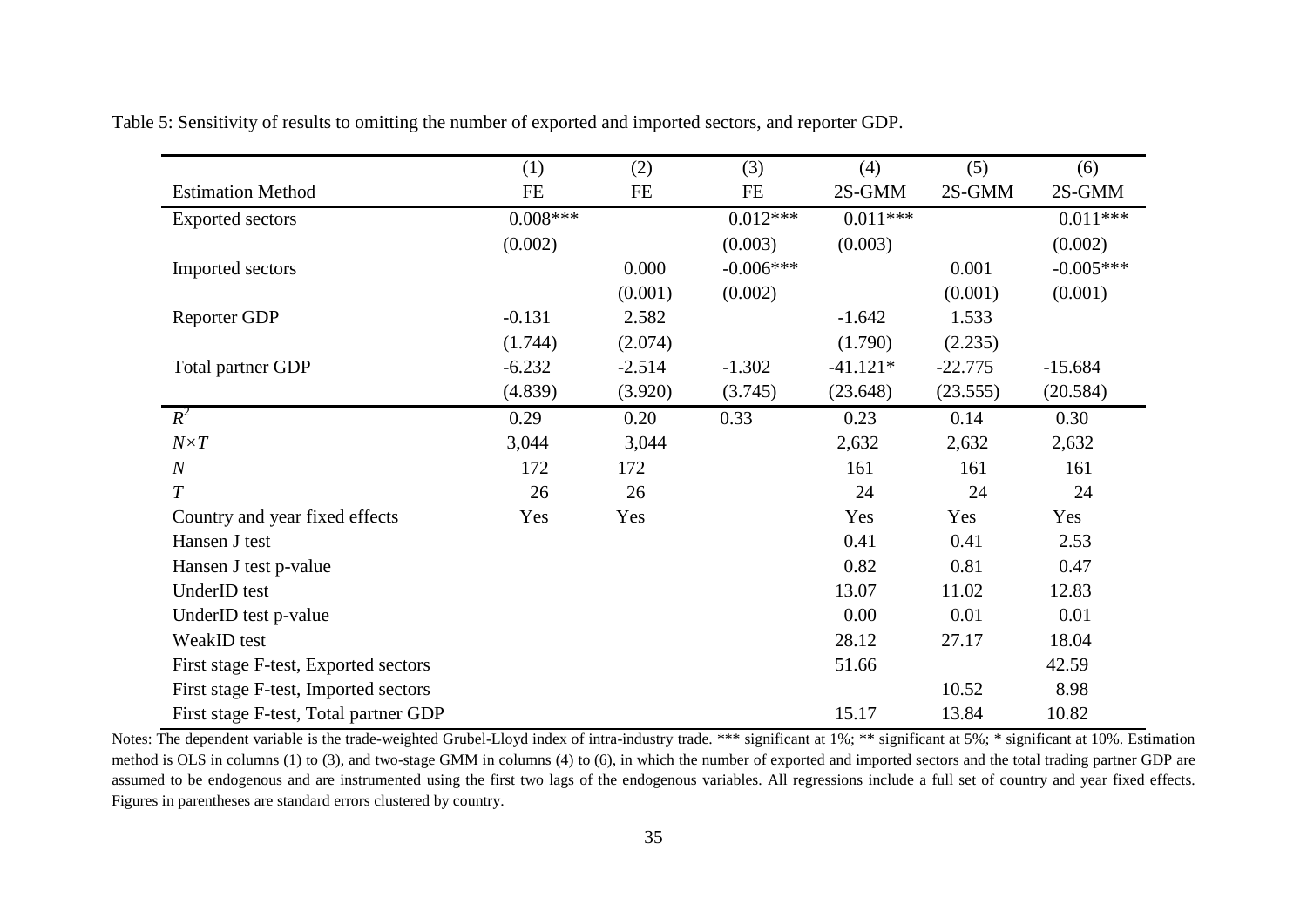|                                       | (1)        | (2)      | (3)         | (4)        | (5)       | (6)         |
|---------------------------------------|------------|----------|-------------|------------|-----------|-------------|
| <b>Estimation Method</b>              | $\rm FE$   | FE       | <b>FE</b>   | 2S-GMM     | 2S-GMM    | 2S-GMM      |
| <b>Exported sectors</b>               | $0.008***$ |          | $0.012***$  | $0.011***$ |           | $0.011***$  |
|                                       | (0.002)    |          | (0.003)     | (0.003)    |           | (0.002)     |
| Imported sectors                      |            | 0.000    | $-0.006***$ |            | 0.001     | $-0.005***$ |
|                                       |            | (0.001)  | (0.002)     |            | (0.001)   | (0.001)     |
| Reporter GDP                          | $-0.131$   | 2.582    |             | $-1.642$   | 1.533     |             |
|                                       | (1.744)    | (2.074)  |             | (1.790)    | (2.235)   |             |
| Total partner GDP                     | $-6.232$   | $-2.514$ | $-1.302$    | $-41.121*$ | $-22.775$ | $-15.684$   |
|                                       | (4.839)    | (3.920)  | (3.745)     | (23.648)   | (23.555)  | (20.584)    |
| $R^2$                                 | 0.29       | 0.20     | 0.33        | 0.23       | 0.14      | 0.30        |
| $N \times T$                          | 3,044      | 3,044    |             | 2,632      | 2,632     | 2,632       |
| $\boldsymbol{N}$                      | 172        | 172      |             | 161        | 161       | 161         |
| $\overline{T}$                        | 26         | 26       |             | 24         | 24        | 24          |
| Country and year fixed effects        | Yes        | Yes      |             | Yes        | Yes       | Yes         |
| Hansen J test                         |            |          |             | 0.41       | 0.41      | 2.53        |
| Hansen J test p-value                 |            |          |             | 0.82       | 0.81      | 0.47        |
| UnderID test                          |            |          |             | 13.07      | 11.02     | 12.83       |
| UnderID test p-value                  |            |          |             | 0.00       | 0.01      | 0.01        |
| WeakID test                           |            |          |             | 28.12      | 27.17     | 18.04       |
| First stage F-test, Exported sectors  |            |          |             | 51.66      |           | 42.59       |
| First stage F-test, Imported sectors  |            |          |             |            | 10.52     | 8.98        |
| First stage F-test, Total partner GDP |            |          |             | 15.17      | 13.84     | 10.82       |

Table 5: Sensitivity of results to omitting the number of exported and imported sectors, and reporter GDP.

Notes: The dependent variable is the trade-weighted Grubel-Lloyd index of intra-industry trade. \*\*\* significant at 1%; \*\* significant at 5%; \* significant at 10%. Estimation method is OLS in columns (1) to (3), and two-stage GMM in columns (4) to (6), in which the number of exported and imported sectors and the total trading partner GDP are assumed to be endogenous and are instrumented using the first two lags of the endogenous variables. All regressions include a full set of country and year fixed effects. Figures in parentheses are standard errors clustered by country.